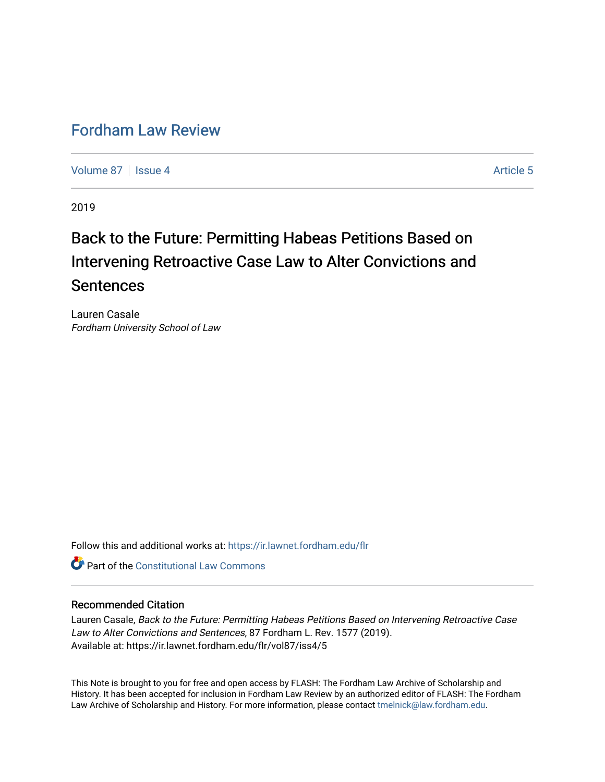# [Fordham Law Review](https://ir.lawnet.fordham.edu/flr)

[Volume 87](https://ir.lawnet.fordham.edu/flr/vol87) | [Issue 4](https://ir.lawnet.fordham.edu/flr/vol87/iss4) Article 5

2019

# Back to the Future: Permitting Habeas Petitions Based on Intervening Retroactive Case Law to Alter Convictions and Sentences

Lauren Casale Fordham University School of Law

Follow this and additional works at: [https://ir.lawnet.fordham.edu/flr](https://ir.lawnet.fordham.edu/flr?utm_source=ir.lawnet.fordham.edu%2Fflr%2Fvol87%2Fiss4%2F5&utm_medium=PDF&utm_campaign=PDFCoverPages)

**C** Part of the Constitutional Law Commons

# Recommended Citation

Lauren Casale, Back to the Future: Permitting Habeas Petitions Based on Intervening Retroactive Case Law to Alter Convictions and Sentences, 87 Fordham L. Rev. 1577 (2019). Available at: https://ir.lawnet.fordham.edu/flr/vol87/iss4/5

This Note is brought to you for free and open access by FLASH: The Fordham Law Archive of Scholarship and History. It has been accepted for inclusion in Fordham Law Review by an authorized editor of FLASH: The Fordham Law Archive of Scholarship and History. For more information, please contact [tmelnick@law.fordham.edu](mailto:tmelnick@law.fordham.edu).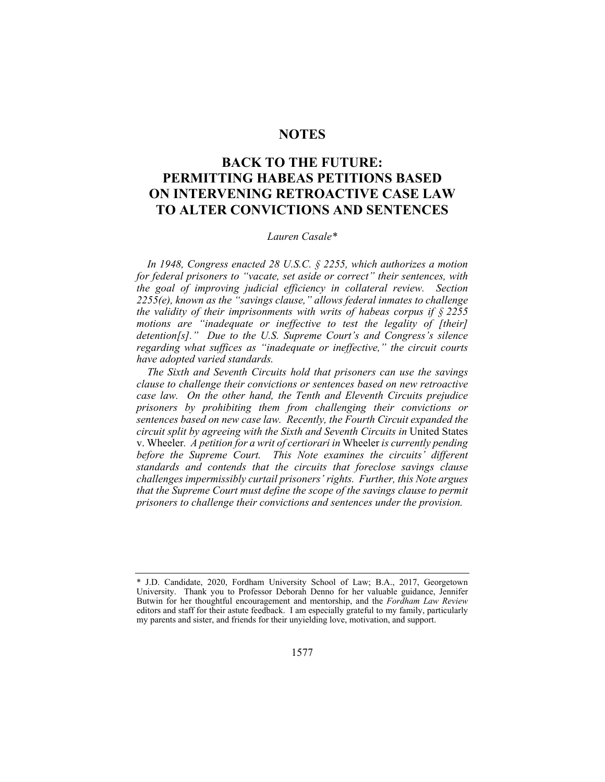# **NOTES**

# **BACK TO THE FUTURE: PERMITTING HABEAS PETITIONS BASED ON INTERVENING RETROACTIVE CASE LAW TO ALTER CONVICTIONS AND SENTENCES**

#### *Lauren Casale\**

*In 1948, Congress enacted 28 U.S.C. § 2255, which authorizes a motion for federal prisoners to "vacate, set aside or correct" their sentences, with the goal of improving judicial efficiency in collateral review. Section 2255(e), known as the "savings clause," allows federal inmates to challenge the validity of their imprisonments with writs of habeas corpus if § 2255 motions are "inadequate or ineffective to test the legality of [their] detention[s]." Due to the U.S. Supreme Court's and Congress's silence regarding what suffices as "inadequate or ineffective," the circuit courts have adopted varied standards.* 

*The Sixth and Seventh Circuits hold that prisoners can use the savings clause to challenge their convictions or sentences based on new retroactive case law. On the other hand, the Tenth and Eleventh Circuits prejudice prisoners by prohibiting them from challenging their convictions or sentences based on new case law. Recently, the Fourth Circuit expanded the circuit split by agreeing with the Sixth and Seventh Circuits in* United States v. Wheeler*. A petition for a writ of certiorari in* Wheeler *is currently pending before the Supreme Court. This Note examines the circuits' different standards and contends that the circuits that foreclose savings clause challenges impermissibly curtail prisoners' rights. Further, this Note argues that the Supreme Court must define the scope of the savings clause to permit prisoners to challenge their convictions and sentences under the provision.* 

<sup>\*</sup> J.D. Candidate, 2020, Fordham University School of Law; B.A., 2017, Georgetown University. Thank you to Professor Deborah Denno for her valuable guidance, Jennifer Butwin for her thoughtful encouragement and mentorship, and the *Fordham Law Review* editors and staff for their astute feedback. I am especially grateful to my family, particularly my parents and sister, and friends for their unyielding love, motivation, and support.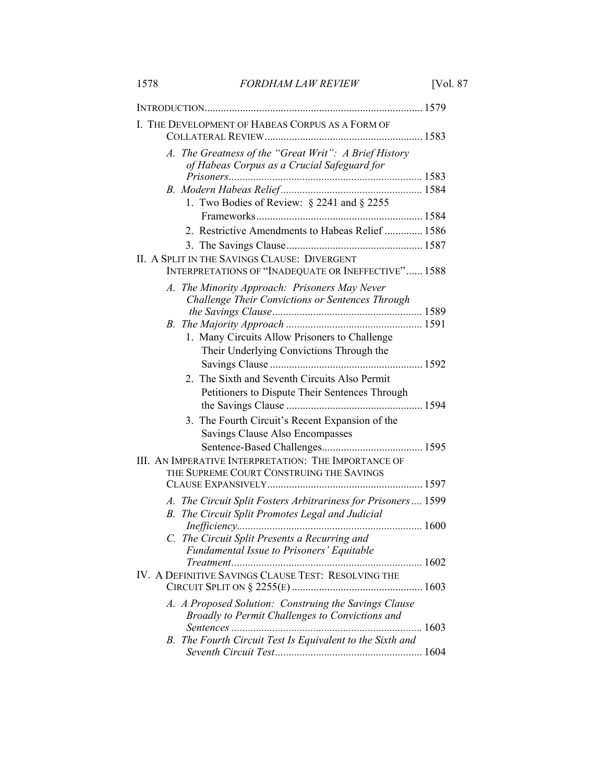| 1578 | <b>FORDHAM LAW REVIEW</b> | [Vol. 87] |
|------|---------------------------|-----------|
|      |                           |           |

| I. THE DEVELOPMENT OF HABEAS CORPUS AS A FORM OF                                                                  |
|-------------------------------------------------------------------------------------------------------------------|
| A. The Greatness of the "Great Writ": A Brief History<br>of Habeas Corpus as a Crucial Safeguard for              |
| 1. Two Bodies of Review: $\S$ 2241 and $\S$ 2255                                                                  |
| 2. Restrictive Amendments to Habeas Relief  1586                                                                  |
|                                                                                                                   |
| II. A SPLIT IN THE SAVINGS CLAUSE: DIVERGENT<br>INTERPRETATIONS OF "INADEQUATE OR INEFFECTIVE" 1588               |
| A. The Minority Approach: Prisoners May Never<br>Challenge Their Convictions or Sentences Through                 |
| 1. Many Circuits Allow Prisoners to Challenge<br>Their Underlying Convictions Through the                         |
|                                                                                                                   |
| 2. The Sixth and Seventh Circuits Also Permit<br>Petitioners to Dispute Their Sentences Through                   |
| 3. The Fourth Circuit's Recent Expansion of the<br>Savings Clause Also Encompasses                                |
| III. AN IMPERATIVE INTERPRETATION: THE IMPORTANCE OF<br>THE SUPREME COURT CONSTRUING THE SAVINGS                  |
|                                                                                                                   |
| A. The Circuit Split Fosters Arbitrariness for Prisoners 1599<br>B. The Circuit Split Promotes Legal and Judicial |
| $Inefficient c y$ .<br>C. The Circuit Split Presents a Recurring and                                              |
| Fundamental Issue to Prisoners' Equitable                                                                         |
| IV. A DEFINITIVE SAVINGS CLAUSE TEST: RESOLVING THE                                                               |
| A. A Proposed Solution: Construing the Savings Clause<br>Broadly to Permit Challenges to Convictions and          |
| B. The Fourth Circuit Test Is Equivalent to the Sixth and                                                         |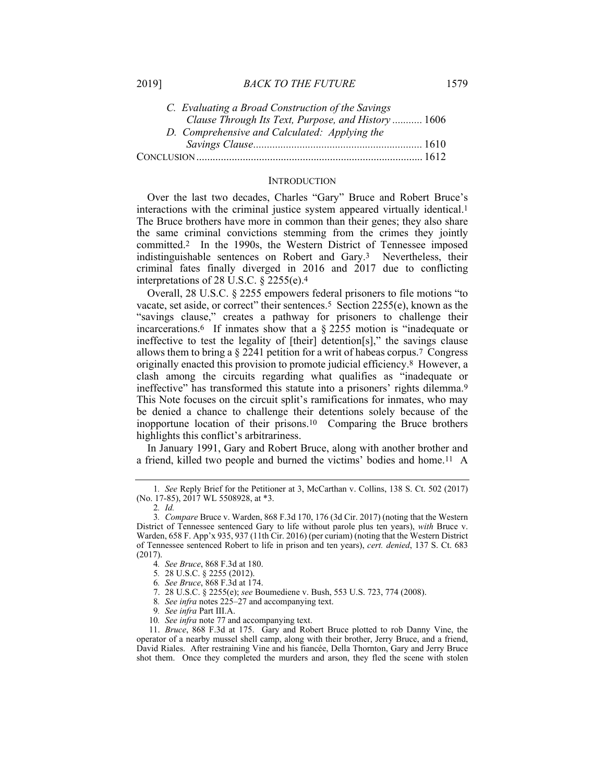| C. Evaluating a Broad Construction of the Savings  |  |
|----------------------------------------------------|--|
| Clause Through Its Text, Purpose, and History 1606 |  |
| D. Comprehensive and Calculated: Applying the      |  |
|                                                    |  |
|                                                    |  |

#### **INTRODUCTION**

Over the last two decades, Charles "Gary" Bruce and Robert Bruce's interactions with the criminal justice system appeared virtually identical.1 The Bruce brothers have more in common than their genes; they also share the same criminal convictions stemming from the crimes they jointly committed.2 In the 1990s, the Western District of Tennessee imposed indistinguishable sentences on Robert and Gary.3 Nevertheless, their criminal fates finally diverged in 2016 and 2017 due to conflicting interpretations of 28 U.S.C. § 2255(e).4

Overall, 28 U.S.C. § 2255 empowers federal prisoners to file motions "to vacate, set aside, or correct" their sentences.5 Section 2255(e), known as the "savings clause," creates a pathway for prisoners to challenge their incarcerations.6 If inmates show that a § 2255 motion is "inadequate or ineffective to test the legality of [their] detention[s]," the savings clause allows them to bring a  $\S$  2241 petition for a writ of habeas corpus.<sup>7</sup> Congress originally enacted this provision to promote judicial efficiency.8 However, a clash among the circuits regarding what qualifies as "inadequate or ineffective" has transformed this statute into a prisoners' rights dilemma.<sup>9</sup> This Note focuses on the circuit split's ramifications for inmates, who may be denied a chance to challenge their detentions solely because of the inopportune location of their prisons.10 Comparing the Bruce brothers highlights this conflict's arbitrariness.

In January 1991, Gary and Robert Bruce, along with another brother and a friend, killed two people and burned the victims' bodies and home.11 A

<sup>1</sup>*. See* Reply Brief for the Petitioner at 3, McCarthan v. Collins, 138 S. Ct. 502 (2017) (No. 17-85), 2017 WL 5508928, at \*3.

<sup>2</sup>*. Id.*

<sup>3</sup>*. Compare* Bruce v. Warden, 868 F.3d 170, 176 (3d Cir. 2017) (noting that the Western District of Tennessee sentenced Gary to life without parole plus ten years), *with* Bruce v. Warden, 658 F. App'x 935, 937 (11th Cir. 2016) (per curiam) (noting that the Western District of Tennessee sentenced Robert to life in prison and ten years), *cert. denied*, 137 S. Ct. 683 (2017).

<sup>4</sup>*. See Bruce*, 868 F.3d at 180.

<sup>5</sup>*.* 28 U.S.C. § 2255 (2012).

<sup>6</sup>*. See Bruce*, 868 F.3d at 174.

 <sup>7. 28</sup> U.S.C. § 2255(e); *see* Boumediene v. Bush, 553 U.S. 723, 774 (2008).

<sup>8</sup>*. See infra* notes 225–27 and accompanying text.

<sup>9</sup>*. See infra* Part III.A.

<sup>10</sup>*. See infra* note 77 and accompanying text.

 <sup>11.</sup> *Bruce*, 868 F.3d at 175. Gary and Robert Bruce plotted to rob Danny Vine, the operator of a nearby mussel shell camp, along with their brother, Jerry Bruce, and a friend, David Riales. After restraining Vine and his fiancée, Della Thornton, Gary and Jerry Bruce shot them. Once they completed the murders and arson, they fled the scene with stolen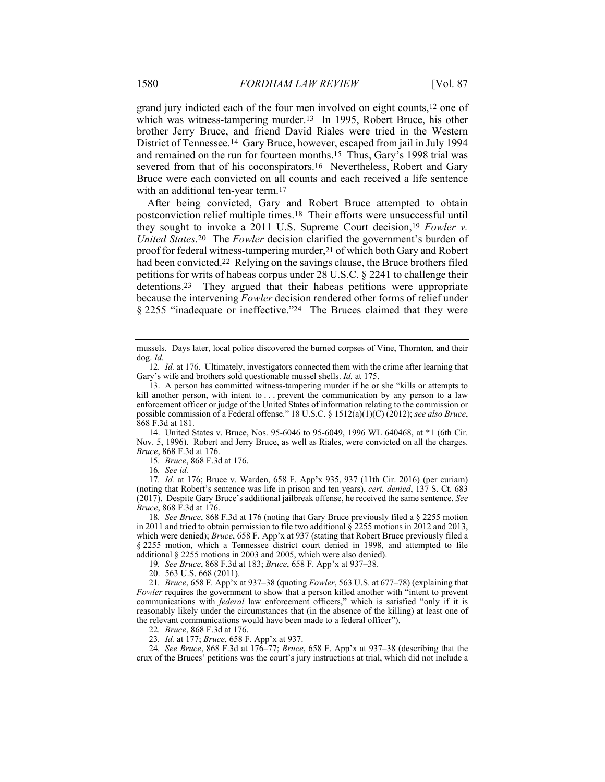grand jury indicted each of the four men involved on eight counts,12 one of which was witness-tampering murder.<sup>13</sup> In 1995, Robert Bruce, his other brother Jerry Bruce, and friend David Riales were tried in the Western District of Tennessee.14 Gary Bruce, however, escaped from jail in July 1994 and remained on the run for fourteen months.15 Thus, Gary's 1998 trial was severed from that of his coconspirators.<sup>16</sup> Nevertheless, Robert and Gary Bruce were each convicted on all counts and each received a life sentence with an additional ten-year term.<sup>17</sup>

After being convicted, Gary and Robert Bruce attempted to obtain postconviction relief multiple times.18 Their efforts were unsuccessful until they sought to invoke a 2011 U.S. Supreme Court decision,19 *Fowler v. United States*.20 The *Fowler* decision clarified the government's burden of proof for federal witness-tampering murder,21 of which both Gary and Robert had been convicted.22 Relying on the savings clause, the Bruce brothers filed petitions for writs of habeas corpus under 28 U.S.C. § 2241 to challenge their detentions.23 They argued that their habeas petitions were appropriate because the intervening *Fowler* decision rendered other forms of relief under § 2255 "inadequate or ineffective."24 The Bruces claimed that they were

 14. United States v. Bruce, Nos. 95-6046 to 95-6049, 1996 WL 640468, at \*1 (6th Cir. Nov. 5, 1996). Robert and Jerry Bruce, as well as Riales, were convicted on all the charges. *Bruce*, 868 F.3d at 176.

15*. Bruce*, 868 F.3d at 176.

16*. See id.*

17*. Id.* at 176; Bruce v. Warden, 658 F. App'x 935, 937 (11th Cir. 2016) (per curiam) (noting that Robert's sentence was life in prison and ten years), *cert. denied*, 137 S. Ct. 683 (2017). Despite Gary Bruce's additional jailbreak offense, he received the same sentence. *See Bruce*, 868 F.3d at 176.

18*. See Bruce*, 868 F.3d at 176 (noting that Gary Bruce previously filed a § 2255 motion in 2011 and tried to obtain permission to file two additional  $\S$  2255 motions in 2012 and 2013, which were denied); *Bruce*, 658 F. App'x at 937 (stating that Robert Bruce previously filed a § 2255 motion, which a Tennessee district court denied in 1998, and attempted to file additional § 2255 motions in 2003 and 2005, which were also denied).

19*. See Bruce*, 868 F.3d at 183; *Bruce*, 658 F. App'x at 937–38.

20. 563 U.S. 668 (2011).

21*. Bruce*, 658 F. App'x at 937–38 (quoting *Fowler*, 563 U.S. at 677–78) (explaining that *Fowler* requires the government to show that a person killed another with "intent to prevent communications with *federal* law enforcement officers," which is satisfied "only if it is reasonably likely under the circumstances that (in the absence of the killing) at least one of the relevant communications would have been made to a federal officer").

22*. Bruce*, 868 F.3d at 176.

23*. Id.* at 177; *Bruce*, 658 F. App'x at 937.

24*. See Bruce*, 868 F.3d at 176–77; *Bruce*, 658 F. App'x at 937–38 (describing that the crux of the Bruces' petitions was the court's jury instructions at trial, which did not include a

mussels. Days later, local police discovered the burned corpses of Vine, Thornton, and their dog. *Id.*

<sup>12</sup>*. Id.* at 176. Ultimately, investigators connected them with the crime after learning that Gary's wife and brothers sold questionable mussel shells. *Id.* at 175.

 <sup>13.</sup> A person has committed witness-tampering murder if he or she "kills or attempts to kill another person, with intent to ... prevent the communication by any person to a law enforcement officer or judge of the United States of information relating to the commission or possible commission of a Federal offense." 18 U.S.C. § 1512(a)(1)(C) (2012); *see also Bruce*, 868 F.3d at 181.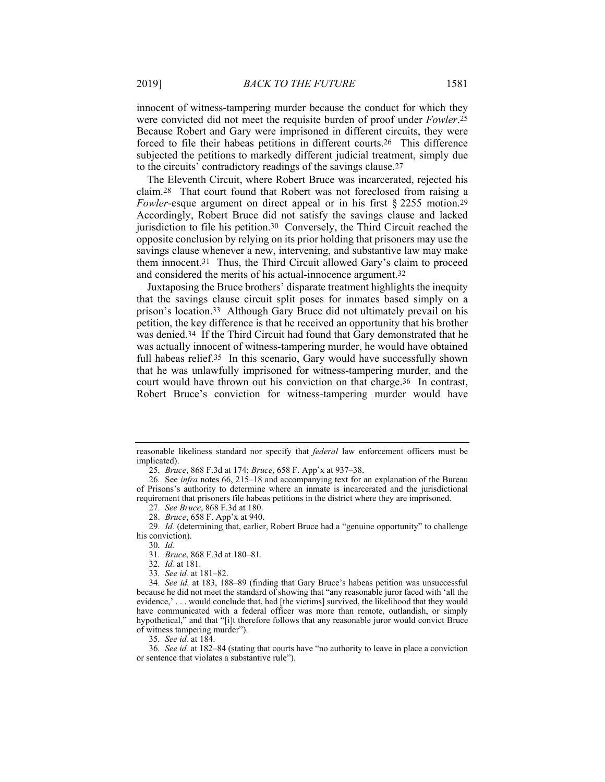innocent of witness-tampering murder because the conduct for which they were convicted did not meet the requisite burden of proof under *Fowler*.25 Because Robert and Gary were imprisoned in different circuits, they were forced to file their habeas petitions in different courts.26 This difference subjected the petitions to markedly different judicial treatment, simply due to the circuits' contradictory readings of the savings clause.27

The Eleventh Circuit, where Robert Bruce was incarcerated, rejected his claim.28 That court found that Robert was not foreclosed from raising a *Fowler*-esque argument on direct appeal or in his first § 2255 motion.<sup>29</sup> Accordingly, Robert Bruce did not satisfy the savings clause and lacked jurisdiction to file his petition.30 Conversely, the Third Circuit reached the opposite conclusion by relying on its prior holding that prisoners may use the savings clause whenever a new, intervening, and substantive law may make them innocent.31 Thus, the Third Circuit allowed Gary's claim to proceed and considered the merits of his actual-innocence argument.32

Juxtaposing the Bruce brothers' disparate treatment highlights the inequity that the savings clause circuit split poses for inmates based simply on a prison's location.33 Although Gary Bruce did not ultimately prevail on his petition, the key difference is that he received an opportunity that his brother was denied.34 If the Third Circuit had found that Gary demonstrated that he was actually innocent of witness-tampering murder, he would have obtained full habeas relief.<sup>35</sup> In this scenario, Gary would have successfully shown that he was unlawfully imprisoned for witness-tampering murder, and the court would have thrown out his conviction on that charge.36 In contrast, Robert Bruce's conviction for witness-tampering murder would have

25*. Bruce*, 868 F.3d at 174; *Bruce*, 658 F. App'x at 937–38.

26*.* See *infra* notes 66, 215–18 and accompanying text for an explanation of the Bureau of Prisons's authority to determine where an inmate is incarcerated and the jurisdictional requirement that prisoners file habeas petitions in the district where they are imprisoned.

27*. See Bruce*, 868 F.3d at 180.

28. *Bruce*, 658 F. App'x at 940.

29*. Id.* (determining that, earlier, Robert Bruce had a "genuine opportunity" to challenge his conviction).

30*. Id.*

31*. Bruce*, 868 F.3d at 180–81.

32*. Id.* at 181.

33*. See id.* at 181–82.

34*. See id.* at 183, 188–89 (finding that Gary Bruce's habeas petition was unsuccessful because he did not meet the standard of showing that "any reasonable juror faced with 'all the evidence,' . . . would conclude that, had [the victims] survived, the likelihood that they would have communicated with a federal officer was more than remote, outlandish, or simply hypothetical," and that "[i]t therefore follows that any reasonable juror would convict Bruce of witness tampering murder").

35*. See id.* at 184.

36*. See id.* at 182–84 (stating that courts have "no authority to leave in place a conviction or sentence that violates a substantive rule").

reasonable likeliness standard nor specify that *federal* law enforcement officers must be implicated).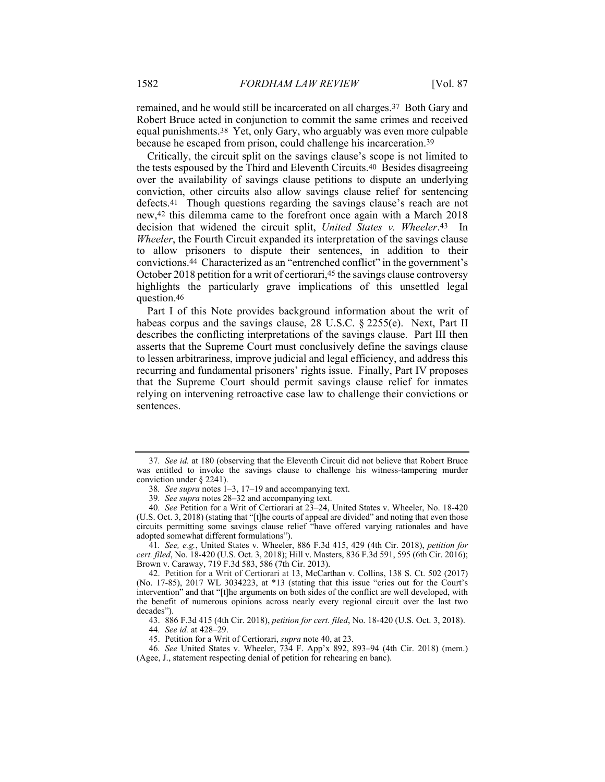remained, and he would still be incarcerated on all charges.37 Both Gary and Robert Bruce acted in conjunction to commit the same crimes and received equal punishments.38 Yet, only Gary, who arguably was even more culpable because he escaped from prison, could challenge his incarceration.39

Critically, the circuit split on the savings clause's scope is not limited to the tests espoused by the Third and Eleventh Circuits.40 Besides disagreeing over the availability of savings clause petitions to dispute an underlying conviction, other circuits also allow savings clause relief for sentencing defects.41 Though questions regarding the savings clause's reach are not new,42 this dilemma came to the forefront once again with a March 2018 decision that widened the circuit split, *United States v. Wheeler*.43 In *Wheeler*, the Fourth Circuit expanded its interpretation of the savings clause to allow prisoners to dispute their sentences, in addition to their convictions.44 Characterized as an "entrenched conflict" in the government's October 2018 petition for a writ of certiorari,<sup>45</sup> the savings clause controversy highlights the particularly grave implications of this unsettled legal question.46

Part I of this Note provides background information about the writ of habeas corpus and the savings clause, 28 U.S.C. § 2255(e). Next, Part II describes the conflicting interpretations of the savings clause. Part III then asserts that the Supreme Court must conclusively define the savings clause to lessen arbitrariness, improve judicial and legal efficiency, and address this recurring and fundamental prisoners' rights issue. Finally, Part IV proposes that the Supreme Court should permit savings clause relief for inmates relying on intervening retroactive case law to challenge their convictions or sentences.

41*. See, e.g.*, United States v. Wheeler, 886 F.3d 415, 429 (4th Cir. 2018), *petition for cert. filed*, No. 18-420 (U.S. Oct. 3, 2018); Hill v. Masters, 836 F.3d 591, 595 (6th Cir. 2016); Brown v. Caraway, 719 F.3d 583, 586 (7th Cir. 2013).

42. Petition for a Writ of Certiorari at 13, McCarthan v. Collins, 138 S. Ct. 502 (2017) (No. 17-85), 2017 WL 3034223, at \*13 (stating that this issue "cries out for the Court's intervention" and that "[t]he arguments on both sides of the conflict are well developed, with the benefit of numerous opinions across nearly every regional circuit over the last two decades").

43. 886 F.3d 415 (4th Cir. 2018), *petition for cert. filed*, No. 18-420 (U.S. Oct. 3, 2018).

<sup>37</sup>*. See id.* at 180 (observing that the Eleventh Circuit did not believe that Robert Bruce was entitled to invoke the savings clause to challenge his witness-tampering murder conviction under § 2241).

<sup>38</sup>*. See supra* notes 1–3, 17–19 and accompanying text.

<sup>39</sup>*. See supra* notes 28–32 and accompanying text.

<sup>40</sup>*. See* Petition for a Writ of Certiorari at 23–24, United States v. Wheeler, No. 18-420 (U.S. Oct. 3, 2018) (stating that "[t]he courts of appeal are divided" and noting that even those circuits permitting some savings clause relief "have offered varying rationales and have adopted somewhat different formulations").

<sup>44</sup>*. See id.* at 428–29.

 <sup>45.</sup> Petition for a Writ of Certiorari, *supra* note 40, at 23.

<sup>46</sup>*. See* United States v. Wheeler, 734 F. App'x 892, 893–94 (4th Cir. 2018) (mem.) (Agee, J., statement respecting denial of petition for rehearing en banc).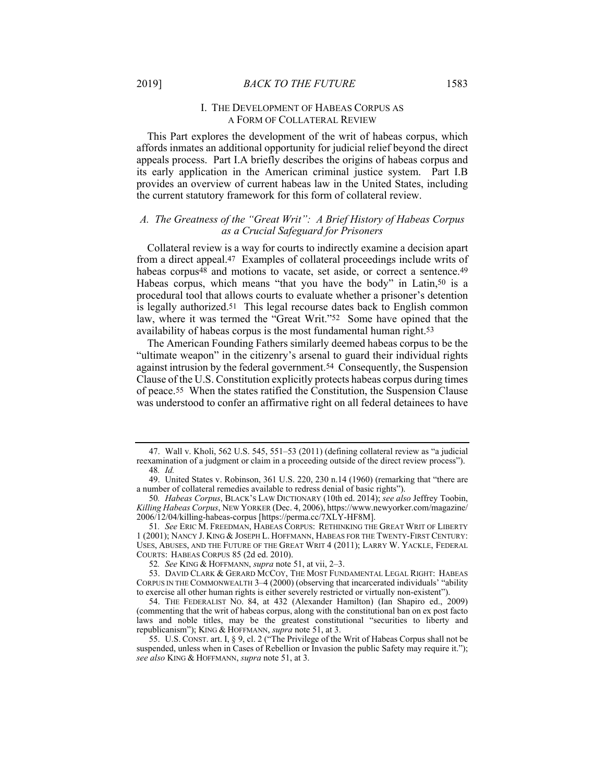#### I. THE DEVELOPMENT OF HABEAS CORPUS AS A FORM OF COLLATERAL REVIEW

This Part explores the development of the writ of habeas corpus, which affords inmates an additional opportunity for judicial relief beyond the direct appeals process. Part I.A briefly describes the origins of habeas corpus and its early application in the American criminal justice system. Part I.B provides an overview of current habeas law in the United States, including the current statutory framework for this form of collateral review.

# *A. The Greatness of the "Great Writ": A Brief History of Habeas Corpus as a Crucial Safeguard for Prisoners*

Collateral review is a way for courts to indirectly examine a decision apart from a direct appeal.47 Examples of collateral proceedings include writs of habeas corpus<sup>48</sup> and motions to vacate, set aside, or correct a sentence.<sup>49</sup> Habeas corpus, which means "that you have the body" in Latin,<sup>50</sup> is a procedural tool that allows courts to evaluate whether a prisoner's detention is legally authorized.51 This legal recourse dates back to English common law, where it was termed the "Great Writ."52 Some have opined that the availability of habeas corpus is the most fundamental human right.53

The American Founding Fathers similarly deemed habeas corpus to be the "ultimate weapon" in the citizenry's arsenal to guard their individual rights against intrusion by the federal government.54 Consequently, the Suspension Clause of the U.S. Constitution explicitly protects habeas corpus during times of peace.55 When the states ratified the Constitution, the Suspension Clause was understood to confer an affirmative right on all federal detainees to have

 <sup>47.</sup> Wall v. Kholi, 562 U.S. 545, 551–53 (2011) (defining collateral review as "a judicial reexamination of a judgment or claim in a proceeding outside of the direct review process"). 48*. Id.*

 <sup>49.</sup> United States v. Robinson, 361 U.S. 220, 230 n.14 (1960) (remarking that "there are a number of collateral remedies available to redress denial of basic rights").

<sup>50</sup>*. Habeas Corpus*, BLACK'S LAW DICTIONARY (10th ed. 2014); *see also* Jeffrey Toobin, *Killing Habeas Corpus*, NEW YORKER (Dec. 4, 2006), https://www.newyorker.com/magazine/ 2006/12/04/killing-habeas-corpus [https://perma.cc/7XLY-HF8M].

<sup>51</sup>*. See* ERIC M. FREEDMAN, HABEAS CORPUS: RETHINKING THE GREAT WRIT OF LIBERTY 1 (2001); NANCY J. KING & JOSEPH L. HOFFMANN, HABEAS FOR THE TWENTY-FIRST CENTURY: USES, ABUSES, AND THE FUTURE OF THE GREAT WRIT 4 (2011); LARRY W. YACKLE, FEDERAL COURTS: HABEAS CORPUS 85 (2d ed. 2010).

<sup>52</sup>*. See* KING & HOFFMANN, *supra* note 51, at vii, 2–3.

 <sup>53.</sup> DAVID CLARK & GERARD MCCOY, THE MOST FUNDAMENTAL LEGAL RIGHT: HABEAS CORPUS IN THE COMMONWEALTH 3–4 (2000) (observing that incarcerated individuals' "ability to exercise all other human rights is either severely restricted or virtually non-existent").

 <sup>54.</sup> THE FEDERALIST NO. 84, at 432 (Alexander Hamilton) (Ian Shapiro ed., 2009) (commenting that the writ of habeas corpus, along with the constitutional ban on ex post facto laws and noble titles, may be the greatest constitutional "securities to liberty and republicanism"); KING & HOFFMANN, *supra* note 51, at 3.

 <sup>55.</sup> U.S. CONST. art. I, § 9, cl. 2 ("The Privilege of the Writ of Habeas Corpus shall not be suspended, unless when in Cases of Rebellion or Invasion the public Safety may require it."); *see also* KING & HOFFMANN, *supra* note 51, at 3.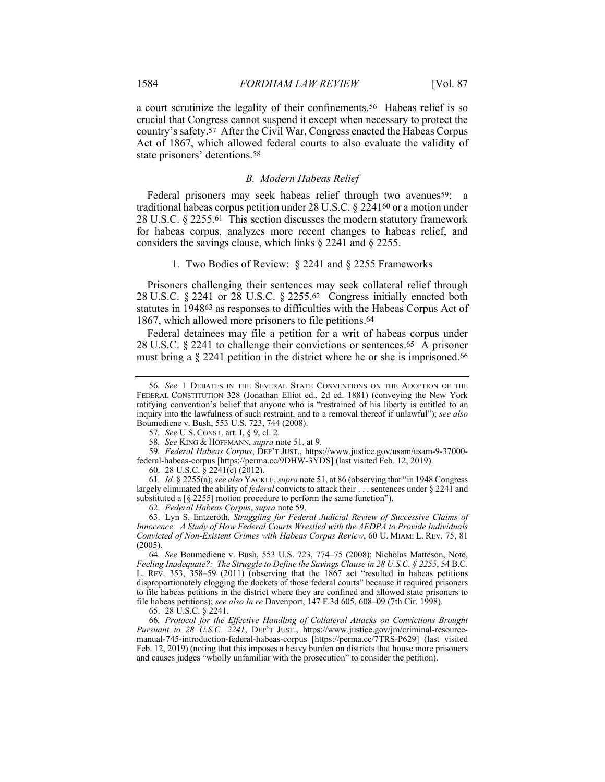a court scrutinize the legality of their confinements.56 Habeas relief is so crucial that Congress cannot suspend it except when necessary to protect the country's safety.57 After the Civil War, Congress enacted the Habeas Corpus Act of 1867, which allowed federal courts to also evaluate the validity of state prisoners' detentions.58

### *B. Modern Habeas Relief*

Federal prisoners may seek habeas relief through two avenues<sup>59</sup>: a traditional habeas corpus petition under 28 U.S.C. § 224160 or a motion under 28 U.S.C. § 2255.61 This section discusses the modern statutory framework for habeas corpus, analyzes more recent changes to habeas relief, and considers the savings clause, which links § 2241 and § 2255.

#### 1. Two Bodies of Review: § 2241 and § 2255 Frameworks

Prisoners challenging their sentences may seek collateral relief through 28 U.S.C. § 2241 or 28 U.S.C. § 2255.62 Congress initially enacted both statutes in 194863 as responses to difficulties with the Habeas Corpus Act of 1867, which allowed more prisoners to file petitions.64

Federal detainees may file a petition for a writ of habeas corpus under 28 U.S.C. § 2241 to challenge their convictions or sentences.65 A prisoner must bring a § 2241 petition in the district where he or she is imprisoned.<sup>66</sup>

59*. Federal Habeas Corpus*, DEP'T JUST., https://www.justice.gov/usam/usam-9-37000 federal-habeas-corpus [https://perma.cc/9DHW-3YDS] (last visited Feb. 12, 2019).

60. 28 U.S.C. § 2241(c) (2012).

61*. Id.* § 2255(a); *see also* YACKLE, *supra* note 51, at 86 (observing that "in 1948 Congress largely eliminated the ability of *federal* convicts to attack their . . . sentences under § 2241 and substituted a [§ 2255] motion procedure to perform the same function").

62*. Federal Habeas Corpus*, *supra* note 59.

 63. Lyn S. Entzeroth, *Struggling for Federal Judicial Review of Successive Claims of Innocence: A Study of How Federal Courts Wrestled with the AEDPA to Provide Individuals Convicted of Non-Existent Crimes with Habeas Corpus Review*, 60 U. MIAMI L. REV. 75, 81 (2005).

64*. See* Boumediene v. Bush, 553 U.S. 723, 774–75 (2008); Nicholas Matteson, Note, *Feeling Inadequate?: The Struggle to Define the Savings Clause in 28 U.S.C. § 2255*, 54 B.C. L. REV. 353, 358–59 (2011) (observing that the 1867 act "resulted in habeas petitions disproportionately clogging the dockets of those federal courts" because it required prisoners to file habeas petitions in the district where they are confined and allowed state prisoners to file habeas petitions); *see also In re* Davenport, 147 F.3d 605, 608–09 (7th Cir. 1998).

65. 28 U.S.C. § 2241.

66*. Protocol for the Effective Handling of Collateral Attacks on Convictions Brought Pursuant to 28 U.S.C. 2241*, DEP'T JUST., https://www.justice.gov/jm/criminal-resourcemanual-745-introduction-federal-habeas-corpus [https://perma.cc/7TRS-P629] (last visited Feb. 12, 2019) (noting that this imposes a heavy burden on districts that house more prisoners and causes judges "wholly unfamiliar with the prosecution" to consider the petition).

<sup>56</sup>*. See* 1 DEBATES IN THE SEVERAL STATE CONVENTIONS ON THE ADOPTION OF THE FEDERAL CONSTITUTION 328 (Jonathan Elliot ed., 2d ed. 1881) (conveying the New York ratifying convention's belief that anyone who is "restrained of his liberty is entitled to an inquiry into the lawfulness of such restraint, and to a removal thereof if unlawful"); *see also* Boumediene v. Bush, 553 U.S. 723, 744 (2008).

<sup>57</sup>*. See* U.S. CONST. art. I, § 9, cl. 2.

<sup>58</sup>*. See* KING & HOFFMANN, *supra* note 51, at 9.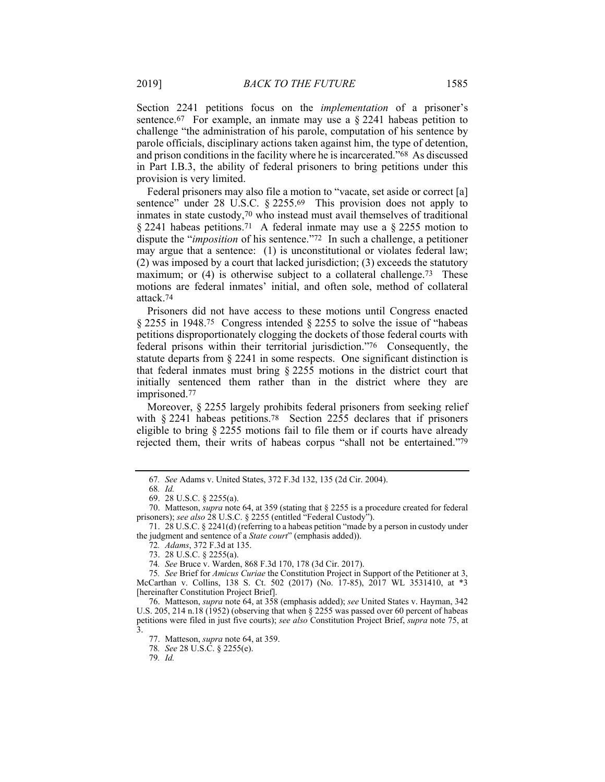Section 2241 petitions focus on the *implementation* of a prisoner's sentence.<sup>67</sup> For example, an inmate may use a  $\S$  2241 habeas petition to challenge "the administration of his parole, computation of his sentence by parole officials, disciplinary actions taken against him, the type of detention, and prison conditions in the facility where he is incarcerated."68 As discussed in Part I.B.3, the ability of federal prisoners to bring petitions under this provision is very limited.

Federal prisoners may also file a motion to "vacate, set aside or correct [a] sentence" under 28 U.S.C. § 2255.69 This provision does not apply to inmates in state custody,70 who instead must avail themselves of traditional § 2241 habeas petitions.71 A federal inmate may use a § 2255 motion to dispute the "*imposition* of his sentence."72 In such a challenge, a petitioner may argue that a sentence: (1) is unconstitutional or violates federal law; (2) was imposed by a court that lacked jurisdiction; (3) exceeds the statutory maximum; or (4) is otherwise subject to a collateral challenge.<sup>73</sup> These motions are federal inmates' initial, and often sole, method of collateral attack.74

Prisoners did not have access to these motions until Congress enacted § 2255 in 1948.75 Congress intended § 2255 to solve the issue of "habeas petitions disproportionately clogging the dockets of those federal courts with federal prisons within their territorial jurisdiction."76 Consequently, the statute departs from § 2241 in some respects. One significant distinction is that federal inmates must bring § 2255 motions in the district court that initially sentenced them rather than in the district where they are imprisoned.77

Moreover, § 2255 largely prohibits federal prisoners from seeking relief with § 2241 habeas petitions.<sup>78</sup> Section 2255 declares that if prisoners eligible to bring § 2255 motions fail to file them or if courts have already rejected them, their writs of habeas corpus "shall not be entertained."79

<sup>67</sup>*. See* Adams v. United States, 372 F.3d 132, 135 (2d Cir. 2004).

<sup>68</sup>*. Id.* 

 <sup>69. 28</sup> U.S.C. § 2255(a).

 <sup>70.</sup> Matteson, *supra* note 64, at 359 (stating that § 2255 is a procedure created for federal prisoners); *see also* 28 U.S.C. § 2255 (entitled "Federal Custody").

 <sup>71. 28</sup> U.S.C. § 2241(d) (referring to a habeas petition "made by a person in custody under the judgment and sentence of a *State court*" (emphasis added)).

<sup>72</sup>*. Adams*, 372 F.3d at 135.

 <sup>73. 28</sup> U.S.C. § 2255(a).

<sup>74</sup>*. See* Bruce v. Warden, 868 F.3d 170, 178 (3d Cir. 2017).

<sup>75</sup>*. See* Brief for *Amicus Curiae* the Constitution Project in Support of the Petitioner at 3, McCarthan v. Collins, 138 S. Ct. 502 (2017) (No. 17-85), 2017 WL 3531410, at \*3 [hereinafter Constitution Project Brief].

 <sup>76.</sup> Matteson, *supra* note 64, at 358 (emphasis added); *see* United States v. Hayman, 342 U.S. 205, 214 n.18 (1952) (observing that when § 2255 was passed over 60 percent of habeas petitions were filed in just five courts); *see also* Constitution Project Brief, *supra* note 75, at 3.

 <sup>77.</sup> Matteson, *supra* note 64, at 359.

<sup>78</sup>*. See* 28 U.S.C. § 2255(e).

<sup>79</sup>*. Id.*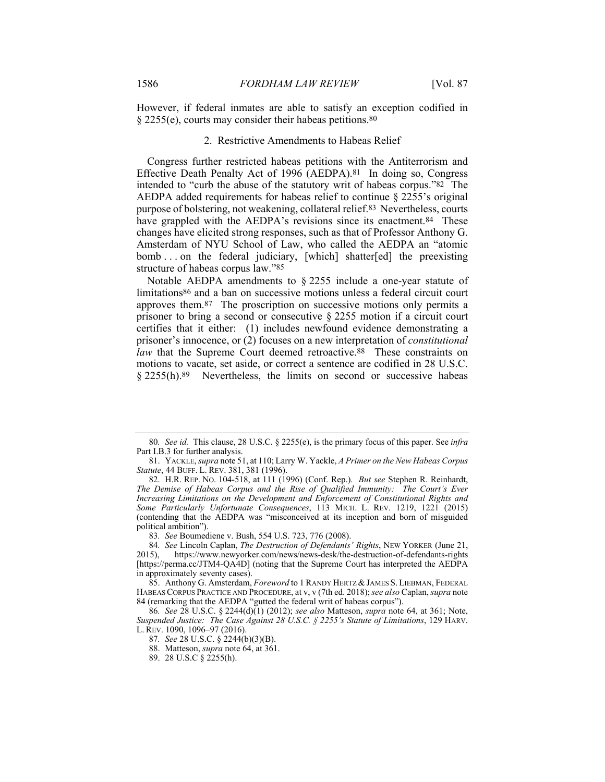However, if federal inmates are able to satisfy an exception codified in § 2255(e), courts may consider their habeas petitions.80

#### 2. Restrictive Amendments to Habeas Relief

Congress further restricted habeas petitions with the Antiterrorism and Effective Death Penalty Act of 1996 (AEDPA).81 In doing so, Congress intended to "curb the abuse of the statutory writ of habeas corpus."82 The AEDPA added requirements for habeas relief to continue § 2255's original purpose of bolstering, not weakening, collateral relief.83 Nevertheless, courts have grappled with the AEDPA's revisions since its enactment.<sup>84</sup> These changes have elicited strong responses, such as that of Professor Anthony G. Amsterdam of NYU School of Law, who called the AEDPA an "atomic bomb . . . on the federal judiciary, [which] shatter[ed] the preexisting structure of habeas corpus law."85

Notable AEDPA amendments to § 2255 include a one-year statute of limitations86 and a ban on successive motions unless a federal circuit court approves them.87 The proscription on successive motions only permits a prisoner to bring a second or consecutive § 2255 motion if a circuit court certifies that it either: (1) includes newfound evidence demonstrating a prisoner's innocence, or (2) focuses on a new interpretation of *constitutional law* that the Supreme Court deemed retroactive.<sup>88</sup> These constraints on motions to vacate, set aside, or correct a sentence are codified in 28 U.S.C. § 2255(h).89 Nevertheless, the limits on second or successive habeas

<sup>80</sup>*. See id.* This clause, 28 U.S.C. § 2255(e), is the primary focus of this paper. See *infra* Part I.B.3 for further analysis.

 <sup>81.</sup> YACKLE, *supra* note 51, at 110; Larry W. Yackle, *A Primer on the New Habeas Corpus Statute*, 44 BUFF. L. REV. 381, 381 (1996).

 <sup>82.</sup> H.R. REP. NO. 104-518, at 111 (1996) (Conf. Rep.). *But see* Stephen R. Reinhardt, *The Demise of Habeas Corpus and the Rise of Qualified Immunity: The Court's Ever Increasing Limitations on the Development and Enforcement of Constitutional Rights and Some Particularly Unfortunate Consequences*, 113 MICH. L. REV. 1219, 1221 (2015) (contending that the AEDPA was "misconceived at its inception and born of misguided political ambition").

<sup>83</sup>*. See* Boumediene v. Bush, 554 U.S. 723, 776 (2008).

<sup>84</sup>*. See* Lincoln Caplan, *The Destruction of Defendants' Rights*, NEW YORKER (June 21, 2015), https://www.newyorker.com/news/news-desk/the-destruction-of-defendants-rights [https://perma.cc/JTM4-QA4D] (noting that the Supreme Court has interpreted the AEDPA in approximately seventy cases).

 <sup>85.</sup> Anthony G. Amsterdam, *Foreword* to 1 RANDY HERTZ &JAMES S. LIEBMAN, FEDERAL HABEAS CORPUS PRACTICE AND PROCEDURE, at v, v (7th ed. 2018); *see also* Caplan, *supra* note 84 (remarking that the AEDPA "gutted the federal writ of habeas corpus").

<sup>86</sup>*. See* 28 U.S.C. § 2244(d)(1) (2012); *see also* Matteson, *supra* note 64, at 361; Note, *Suspended Justice: The Case Against 28 U.S.C. § 2255's Statute of Limitations*, 129 HARV. L. REV. 1090, 1096–97 (2016).

<sup>87</sup>*. See* 28 U.S.C. § 2244(b)(3)(B).

 <sup>88.</sup> Matteson, *supra* note 64, at 361.

 <sup>89. 28</sup> U.S.C § 2255(h).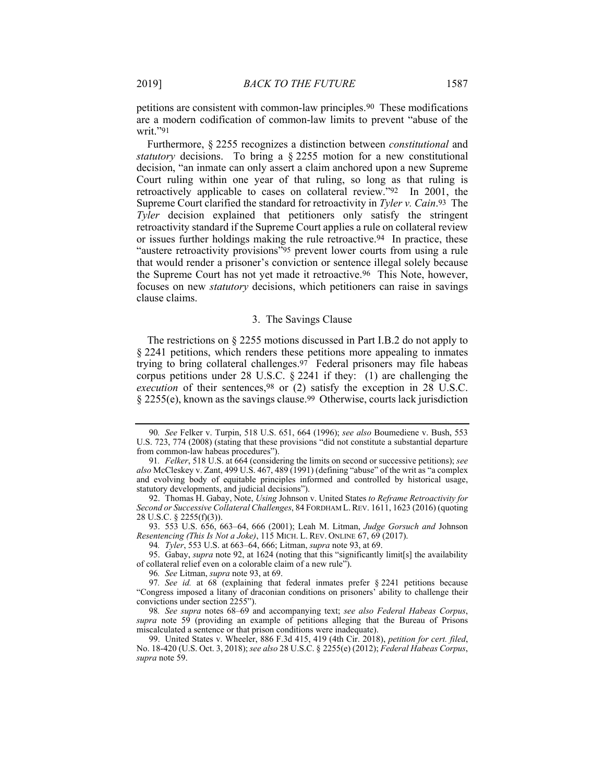petitions are consistent with common-law principles.90 These modifications are a modern codification of common-law limits to prevent "abuse of the writ."91

Furthermore, § 2255 recognizes a distinction between *constitutional* and *statutory* decisions. To bring a § 2255 motion for a new constitutional decision, "an inmate can only assert a claim anchored upon a new Supreme Court ruling within one year of that ruling, so long as that ruling is retroactively applicable to cases on collateral review."92 In 2001, the Supreme Court clarified the standard for retroactivity in *Tyler v. Cain*.93 The *Tyler* decision explained that petitioners only satisfy the stringent retroactivity standard if the Supreme Court applies a rule on collateral review or issues further holdings making the rule retroactive.94 In practice, these "austere retroactivity provisions"95 prevent lower courts from using a rule that would render a prisoner's conviction or sentence illegal solely because the Supreme Court has not yet made it retroactive.96 This Note, however, focuses on new *statutory* decisions, which petitioners can raise in savings clause claims.

#### 3. The Savings Clause

The restrictions on § 2255 motions discussed in Part I.B.2 do not apply to § 2241 petitions, which renders these petitions more appealing to inmates trying to bring collateral challenges.97 Federal prisoners may file habeas corpus petitions under 28 U.S.C. § 2241 if they: (1) are challenging the *execution* of their sentences,<sup>98</sup> or (2) satisfy the exception in 28 U.S.C. § 2255(e), known as the savings clause.99 Otherwise, courts lack jurisdiction

 93. 553 U.S. 656, 663–64, 666 (2001); Leah M. Litman, *Judge Gorsuch and* Johnson *Resentencing (This Is Not a Joke)*, 115 MICH. L. REV. ONLINE 67, 69 (2017).

94*. Tyler*, 553 U.S. at 663–64, 666; Litman, *supra* note 93, at 69.

96*. See* Litman, *supra* note 93, at 69.

98*. See supra* notes 68–69 and accompanying text; *see also Federal Habeas Corpus*, *supra* note 59 (providing an example of petitions alleging that the Bureau of Prisons miscalculated a sentence or that prison conditions were inadequate).

 99. United States v. Wheeler, 886 F.3d 415, 419 (4th Cir. 2018), *petition for cert. filed*, No. 18-420 (U.S. Oct. 3, 2018); *see also* 28 U.S.C. § 2255(e) (2012); *Federal Habeas Corpus*, *supra* note 59.

<sup>90</sup>*. See* Felker v. Turpin, 518 U.S. 651, 664 (1996); *see also* Boumediene v. Bush, 553 U.S. 723, 774 (2008) (stating that these provisions "did not constitute a substantial departure from common-law habeas procedures").

<sup>91</sup>*. Felker*, 518 U.S. at 664 (considering the limits on second or successive petitions); *see also* McCleskey v. Zant, 499 U.S. 467, 489 (1991) (defining "abuse" of the writ as "a complex and evolving body of equitable principles informed and controlled by historical usage, statutory developments, and judicial decisions").

 <sup>92.</sup> Thomas H. Gabay, Note, *Using* Johnson v. United States *to Reframe Retroactivity for Second or Successive Collateral Challenges*, 84 FORDHAM L.REV. 1611, 1623 (2016) (quoting 28 U.S.C. § 2255(f)(3)).

 <sup>95.</sup> Gabay, *supra* note 92, at 1624 (noting that this "significantly limit[s] the availability of collateral relief even on a colorable claim of a new rule").

<sup>97</sup>*. See id.* at 68 (explaining that federal inmates prefer § 2241 petitions because "Congress imposed a litany of draconian conditions on prisoners' ability to challenge their convictions under section 2255").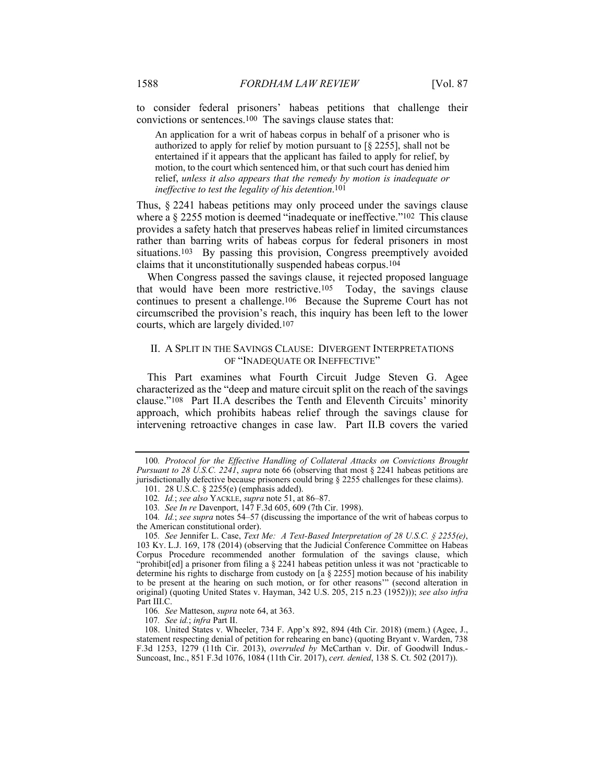to consider federal prisoners' habeas petitions that challenge their convictions or sentences.100 The savings clause states that:

An application for a writ of habeas corpus in behalf of a prisoner who is authorized to apply for relief by motion pursuant to [§ 2255], shall not be entertained if it appears that the applicant has failed to apply for relief, by motion, to the court which sentenced him, or that such court has denied him relief, *unless it also appears that the remedy by motion is inadequate or ineffective to test the legality of his detention*.101

Thus, § 2241 habeas petitions may only proceed under the savings clause where a § 2255 motion is deemed "inadequate or ineffective."<sup>102</sup> This clause provides a safety hatch that preserves habeas relief in limited circumstances rather than barring writs of habeas corpus for federal prisoners in most situations.103 By passing this provision, Congress preemptively avoided claims that it unconstitutionally suspended habeas corpus.104

When Congress passed the savings clause, it rejected proposed language that would have been more restrictive.105 Today, the savings clause continues to present a challenge.106 Because the Supreme Court has not circumscribed the provision's reach, this inquiry has been left to the lower courts, which are largely divided.107

# II. A SPLIT IN THE SAVINGS CLAUSE: DIVERGENT INTERPRETATIONS OF "INADEQUATE OR INEFFECTIVE"

This Part examines what Fourth Circuit Judge Steven G. Agee characterized as the "deep and mature circuit split on the reach of the savings clause."108 Part II.A describes the Tenth and Eleventh Circuits' minority approach, which prohibits habeas relief through the savings clause for intervening retroactive changes in case law. Part II.B covers the varied

<sup>100</sup>*. Protocol for the Effective Handling of Collateral Attacks on Convictions Brought Pursuant to 28 U.S.C. 2241*, *supra* note 66 (observing that most § 2241 habeas petitions are jurisdictionally defective because prisoners could bring § 2255 challenges for these claims).

 <sup>101. 28</sup> U.S.C. § 2255(e) (emphasis added).

<sup>102</sup>*. Id.*; *see also* YACKLE, *supra* note 51, at 86–87.

<sup>103</sup>*. See In re* Davenport, 147 F.3d 605, 609 (7th Cir. 1998).

<sup>104</sup>*. Id.*; *see supra* notes 54–57 (discussing the importance of the writ of habeas corpus to the American constitutional order).

<sup>105</sup>*. See* Jennifer L. Case, *Text Me: A Text-Based Interpretation of 28 U.S.C. § 2255(e)*, 103 KY. L.J. 169, 178 (2014) (observing that the Judicial Conference Committee on Habeas Corpus Procedure recommended another formulation of the savings clause, which "prohibit[ed] a prisoner from filing a § 2241 habeas petition unless it was not 'practicable to determine his rights to discharge from custody on [a § 2255] motion because of his inability to be present at the hearing on such motion, or for other reasons'" (second alteration in original) (quoting United States v. Hayman, 342 U.S. 205, 215 n.23 (1952))); *see also infra* Part III.C.

<sup>106</sup>*. See* Matteson, *supra* note 64, at 363.

<sup>107</sup>*. See id.*; *infra* Part II.

 <sup>108.</sup> United States v. Wheeler, 734 F. App'x 892, 894 (4th Cir. 2018) (mem.) (Agee, J., statement respecting denial of petition for rehearing en banc) (quoting Bryant v. Warden, 738 F.3d 1253, 1279 (11th Cir. 2013), *overruled by* McCarthan v. Dir. of Goodwill Indus.- Suncoast, Inc., 851 F.3d 1076, 1084 (11th Cir. 2017), *cert. denied*, 138 S. Ct. 502 (2017)).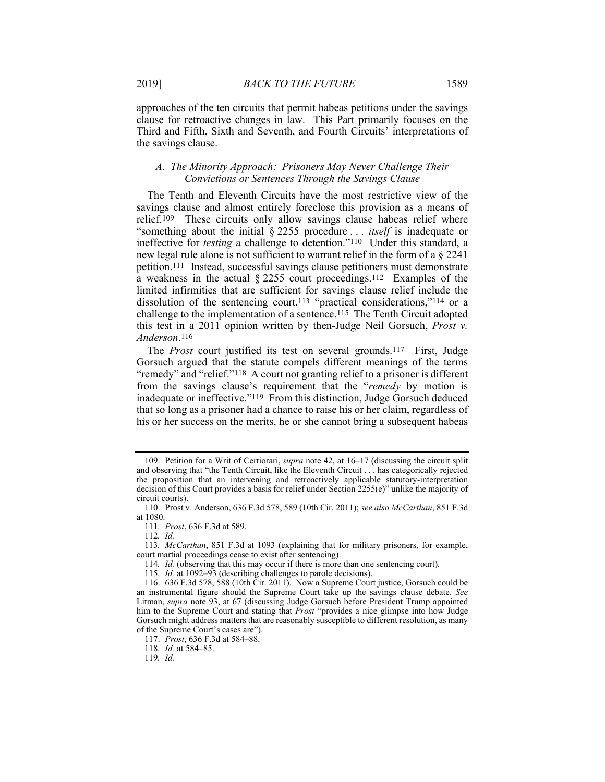#### *A. The Minority Approach: Prisoners May Never Challenge Their Convictions or Sentences Through the Savings Clause*

The Tenth and Eleventh Circuits have the most restrictive view of the savings clause and almost entirely foreclose this provision as a means of relief.109 These circuits only allow savings clause habeas relief where "something about the initial § 2255 procedure . . . *itself* is inadequate or ineffective for *testing* a challenge to detention."110 Under this standard, a new legal rule alone is not sufficient to warrant relief in the form of a § 2241 petition.111 Instead, successful savings clause petitioners must demonstrate a weakness in the actual  $\S 2255$  court proceedings.<sup>112</sup> Examples of the limited infirmities that are sufficient for savings clause relief include the dissolution of the sentencing court,113 "practical considerations,"114 or a challenge to the implementation of a sentence.115 The Tenth Circuit adopted this test in a 2011 opinion written by then-Judge Neil Gorsuch, *Prost v. Anderson*.116

The *Prost* court justified its test on several grounds.117 First, Judge Gorsuch argued that the statute compels different meanings of the terms "remedy" and "relief."118 A court not granting relief to a prisoner is different from the savings clause's requirement that the "*remedy* by motion is inadequate or ineffective."119 From this distinction, Judge Gorsuch deduced that so long as a prisoner had a chance to raise his or her claim, regardless of his or her success on the merits, he or she cannot bring a subsequent habeas

 <sup>109.</sup> Petition for a Writ of Certiorari, *supra* note 42, at 16–17 (discussing the circuit split and observing that "the Tenth Circuit, like the Eleventh Circuit . . . has categorically rejected the proposition that an intervening and retroactively applicable statutory-interpretation decision of this Court provides a basis for relief under Section 2255(e)" unlike the majority of circuit courts).

 <sup>110.</sup> Prost v. Anderson, 636 F.3d 578, 589 (10th Cir. 2011); *see also McCarthan*, 851 F.3d at 1080.

<sup>111</sup>*. Prost*, 636 F.3d at 589.

<sup>112</sup>*. Id.*

<sup>113</sup>*. McCarthan*, 851 F.3d at 1093 (explaining that for military prisoners, for example, court martial proceedings cease to exist after sentencing).

<sup>114</sup>*. Id.* (observing that this may occur if there is more than one sentencing court).

<sup>115</sup>*. Id.* at 1092–93 (describing challenges to parole decisions).

 <sup>116. 636</sup> F.3d 578, 588 (10th Cir. 2011). Now a Supreme Court justice, Gorsuch could be an instrumental figure should the Supreme Court take up the savings clause debate. *See* Litman, *supra* note 93, at 67 (discussing Judge Gorsuch before President Trump appointed him to the Supreme Court and stating that *Prost* "provides a nice glimpse into how Judge Gorsuch might address matters that are reasonably susceptible to different resolution, as many of the Supreme Court's cases are").

 <sup>117.</sup> *Prost*, 636 F.3d at 584–88.

<sup>118</sup>*. Id.* at 584–85.

<sup>119</sup>*. Id.*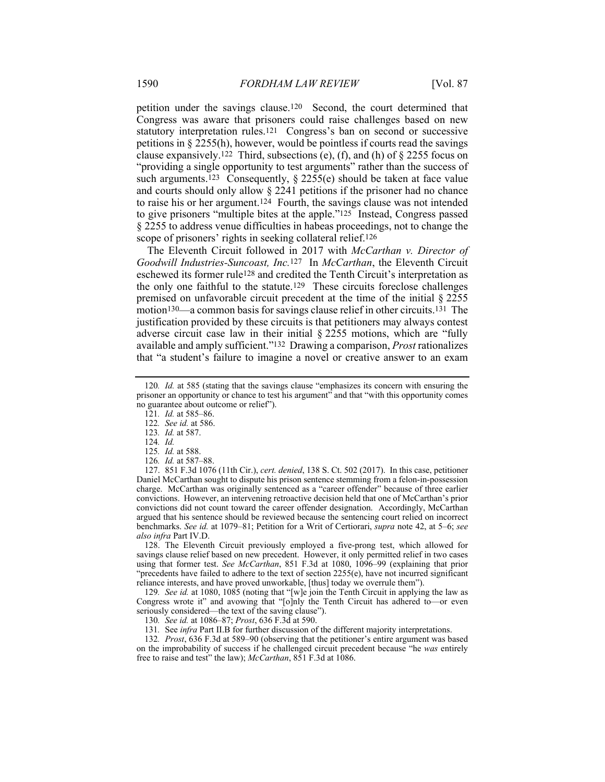petition under the savings clause.120 Second, the court determined that Congress was aware that prisoners could raise challenges based on new statutory interpretation rules.121 Congress's ban on second or successive petitions in § 2255(h), however, would be pointless if courts read the savings clause expansively.<sup>122</sup> Third, subsections (e), (f), and (h) of  $\S$  2255 focus on "providing a single opportunity to test arguments" rather than the success of such arguments.<sup>123</sup> Consequently,  $\S$  2255(e) should be taken at face value and courts should only allow § 2241 petitions if the prisoner had no chance to raise his or her argument.124 Fourth, the savings clause was not intended to give prisoners "multiple bites at the apple."125 Instead, Congress passed § 2255 to address venue difficulties in habeas proceedings, not to change the scope of prisoners' rights in seeking collateral relief.<sup>126</sup>

The Eleventh Circuit followed in 2017 with *McCarthan v. Director of Goodwill Industries-Suncoast, Inc.*127 In *McCarthan*, the Eleventh Circuit eschewed its former rule128 and credited the Tenth Circuit's interpretation as the only one faithful to the statute.129 These circuits foreclose challenges premised on unfavorable circuit precedent at the time of the initial § 2255 motion130—a common basis for savings clause relief in other circuits.131 The justification provided by these circuits is that petitioners may always contest adverse circuit case law in their initial § 2255 motions, which are "fully available and amply sufficient."132 Drawing a comparison, *Prost* rationalizes that "a student's failure to imagine a novel or creative answer to an exam

121*. Id.* at 585–86.

122*. See id.* at 586.

123*. Id.* at 587.

124*. Id.*

126*. Id.* at 587–88.

 127. 851 F.3d 1076 (11th Cir.), *cert. denied*, 138 S. Ct. 502 (2017). In this case, petitioner Daniel McCarthan sought to dispute his prison sentence stemming from a felon-in-possession charge. McCarthan was originally sentenced as a "career offender" because of three earlier convictions. However, an intervening retroactive decision held that one of McCarthan's prior convictions did not count toward the career offender designation. Accordingly, McCarthan argued that his sentence should be reviewed because the sentencing court relied on incorrect benchmarks. *See id.* at 1079–81; Petition for a Writ of Certiorari, *supra* note 42, at 5–6; *see also infra* Part IV.D.

 128. The Eleventh Circuit previously employed a five-prong test, which allowed for savings clause relief based on new precedent. However, it only permitted relief in two cases using that former test. *See McCarthan*, 851 F.3d at 1080, 1096–99 (explaining that prior "precedents have failed to adhere to the text of section  $2255(e)$ , have not incurred significant reliance interests, and have proved unworkable, [thus] today we overrule them").

129*. See id.* at 1080, 1085 (noting that "[w]e join the Tenth Circuit in applying the law as Congress wrote it" and avowing that "[o]nly the Tenth Circuit has adhered to—or even seriously considered—the text of the saving clause").

130*. See id.* at 1086–87; *Prost*, 636 F.3d at 590.

131*.* See *infra* Part II.B for further discussion of the different majority interpretations.

132*. Prost*, 636 F.3d at 589–90 (observing that the petitioner's entire argument was based on the improbability of success if he challenged circuit precedent because "he *was* entirely free to raise and test" the law); *McCarthan*, 851 F.3d at 1086.

<sup>120</sup>*. Id.* at 585 (stating that the savings clause "emphasizes its concern with ensuring the prisoner an opportunity or chance to test his argument" and that "with this opportunity comes no guarantee about outcome or relief").

<sup>125</sup>*. Id.* at 588.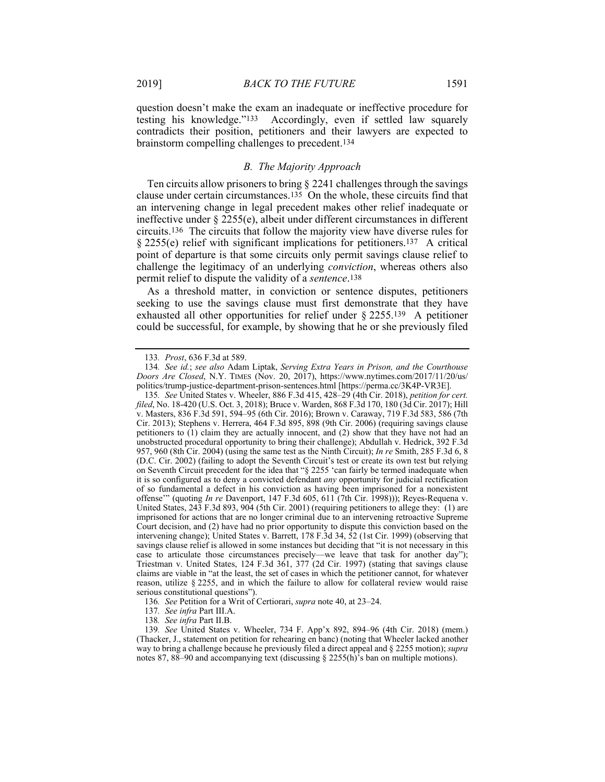question doesn't make the exam an inadequate or ineffective procedure for testing his knowledge."133 Accordingly, even if settled law squarely contradicts their position, petitioners and their lawyers are expected to brainstorm compelling challenges to precedent.134

#### *B. The Majority Approach*

Ten circuits allow prisoners to bring § 2241 challenges through the savings clause under certain circumstances.135 On the whole, these circuits find that an intervening change in legal precedent makes other relief inadequate or ineffective under § 2255(e), albeit under different circumstances in different circuits.136 The circuits that follow the majority view have diverse rules for § 2255(e) relief with significant implications for petitioners.137 A critical point of departure is that some circuits only permit savings clause relief to challenge the legitimacy of an underlying *conviction*, whereas others also permit relief to dispute the validity of a *sentence*.138

As a threshold matter, in conviction or sentence disputes, petitioners seeking to use the savings clause must first demonstrate that they have exhausted all other opportunities for relief under § 2255.139 A petitioner could be successful, for example, by showing that he or she previously filed

<sup>133</sup>*. Prost*, 636 F.3d at 589.

<sup>134</sup>*. See id.*; *see also* Adam Liptak, *Serving Extra Years in Prison, and the Courthouse Doors Are Closed*, N.Y. TIMES (Nov. 20, 2017), https://www.nytimes.com/2017/11/20/us/ politics/trump-justice-department-prison-sentences.html [https://perma.cc/3K4P-VR3E].

<sup>135</sup>*. See* United States v. Wheeler, 886 F.3d 415, 428–29 (4th Cir. 2018), *petition for cert. filed*, No. 18-420 (U.S. Oct. 3, 2018); Bruce v. Warden, 868 F.3d 170, 180 (3d Cir. 2017); Hill v. Masters, 836 F.3d 591, 594–95 (6th Cir. 2016); Brown v. Caraway, 719 F.3d 583, 586 (7th Cir. 2013); Stephens v. Herrera, 464 F.3d 895, 898 (9th Cir. 2006) (requiring savings clause petitioners to  $(1)$  claim they are actually innocent, and  $(2)$  show that they have not had an unobstructed procedural opportunity to bring their challenge); Abdullah v. Hedrick, 392 F.3d 957, 960 (8th Cir. 2004) (using the same test as the Ninth Circuit); *In re* Smith, 285 F.3d 6, 8 (D.C. Cir. 2002) (failing to adopt the Seventh Circuit's test or create its own test but relying on Seventh Circuit precedent for the idea that "§ 2255 'can fairly be termed inadequate when it is so configured as to deny a convicted defendant *any* opportunity for judicial rectification of so fundamental a defect in his conviction as having been imprisoned for a nonexistent offense'" (quoting *In re* Davenport, 147 F.3d 605, 611 (7th Cir. 1998))); Reyes-Requena v. United States, 243 F.3d 893, 904 (5th Cir. 2001) (requiring petitioners to allege they: (1) are imprisoned for actions that are no longer criminal due to an intervening retroactive Supreme Court decision, and (2) have had no prior opportunity to dispute this conviction based on the intervening change); United States v. Barrett, 178 F.3d 34, 52 (1st Cir. 1999) (observing that savings clause relief is allowed in some instances but deciding that "it is not necessary in this case to articulate those circumstances precisely—we leave that task for another day"); Triestman v. United States, 124 F.3d 361, 377 (2d Cir. 1997) (stating that savings clause claims are viable in "at the least, the set of cases in which the petitioner cannot, for whatever reason, utilize § 2255, and in which the failure to allow for collateral review would raise serious constitutional questions")

<sup>136</sup>*. See* Petition for a Writ of Certiorari, *supra* note 40, at 23–24.

<sup>137</sup>*. See infra* Part III.A.

<sup>138</sup>*. See infra* Part II.B.

<sup>139</sup>*. See* United States v. Wheeler, 734 F. App'x 892, 894–96 (4th Cir. 2018) (mem.) (Thacker, J., statement on petition for rehearing en banc) (noting that Wheeler lacked another way to bring a challenge because he previously filed a direct appeal and § 2255 motion); *supra* notes 87, 88–90 and accompanying text (discussing  $\S$  2255(h)'s ban on multiple motions).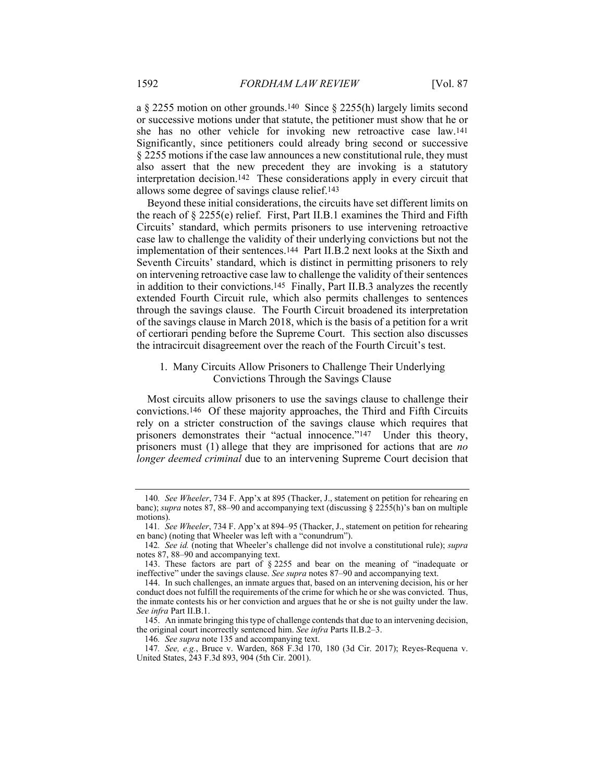a § 2255 motion on other grounds.140 Since § 2255(h) largely limits second or successive motions under that statute, the petitioner must show that he or she has no other vehicle for invoking new retroactive case law.141 Significantly, since petitioners could already bring second or successive § 2255 motions if the case law announces a new constitutional rule, they must also assert that the new precedent they are invoking is a statutory interpretation decision.142 These considerations apply in every circuit that allows some degree of savings clause relief.143

Beyond these initial considerations, the circuits have set different limits on the reach of § 2255(e) relief. First, Part II.B.1 examines the Third and Fifth Circuits' standard, which permits prisoners to use intervening retroactive case law to challenge the validity of their underlying convictions but not the implementation of their sentences.144 Part II.B.2 next looks at the Sixth and Seventh Circuits' standard, which is distinct in permitting prisoners to rely on intervening retroactive case law to challenge the validity of their sentences in addition to their convictions.145 Finally, Part II.B.3 analyzes the recently extended Fourth Circuit rule, which also permits challenges to sentences through the savings clause. The Fourth Circuit broadened its interpretation of the savings clause in March 2018, which is the basis of a petition for a writ of certiorari pending before the Supreme Court. This section also discusses the intracircuit disagreement over the reach of the Fourth Circuit's test.

# 1. Many Circuits Allow Prisoners to Challenge Their Underlying Convictions Through the Savings Clause

Most circuits allow prisoners to use the savings clause to challenge their convictions.146 Of these majority approaches, the Third and Fifth Circuits rely on a stricter construction of the savings clause which requires that prisoners demonstrates their "actual innocence."147 Under this theory, prisoners must (1) allege that they are imprisoned for actions that are *no longer deemed criminal* due to an intervening Supreme Court decision that

<sup>140</sup>*. See Wheeler*, 734 F. App'x at 895 (Thacker, J., statement on petition for rehearing en banc); *supra* notes 87, 88–90 and accompanying text (discussing § 2255(h)'s ban on multiple motions).

<sup>141</sup>*. See Wheeler*, 734 F. App'x at 894–95 (Thacker, J., statement on petition for rehearing en banc) (noting that Wheeler was left with a "conundrum").

<sup>142</sup>*. See id.* (noting that Wheeler's challenge did not involve a constitutional rule); *supra* notes 87, 88–90 and accompanying text.

 <sup>143.</sup> These factors are part of § 2255 and bear on the meaning of "inadequate or ineffective" under the savings clause. *See supra* notes 87–90 and accompanying text.

 <sup>144.</sup> In such challenges, an inmate argues that, based on an intervening decision, his or her conduct does not fulfill the requirements of the crime for which he or she was convicted. Thus, the inmate contests his or her conviction and argues that he or she is not guilty under the law. *See infra* Part II.B.1.

 <sup>145.</sup> An inmate bringing this type of challenge contends that due to an intervening decision, the original court incorrectly sentenced him. *See infra* Parts II.B.2–3.

<sup>146</sup>*. See supra* note 135 and accompanying text.

<sup>147</sup>*. See, e.g.*, Bruce v. Warden, 868 F.3d 170, 180 (3d Cir. 2017); Reyes-Requena v. United States, 243 F.3d 893, 904 (5th Cir. 2001).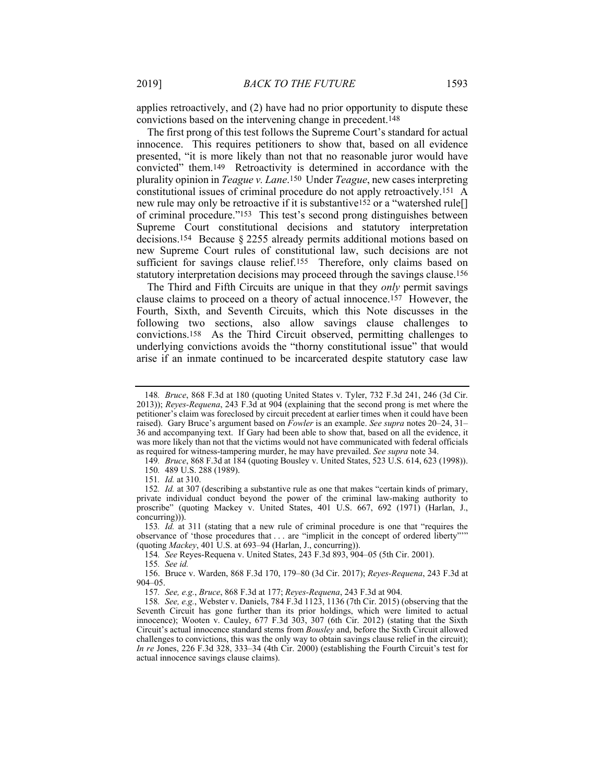applies retroactively, and (2) have had no prior opportunity to dispute these convictions based on the intervening change in precedent.148

The first prong of this test follows the Supreme Court's standard for actual innocence. This requires petitioners to show that, based on all evidence presented, "it is more likely than not that no reasonable juror would have convicted" them.149 Retroactivity is determined in accordance with the plurality opinion in *Teague v. Lane*.150 Under *Teague*, new cases interpreting constitutional issues of criminal procedure do not apply retroactively.151 A new rule may only be retroactive if it is substantive152 or a "watershed rule[] of criminal procedure."153 This test's second prong distinguishes between Supreme Court constitutional decisions and statutory interpretation decisions.154 Because § 2255 already permits additional motions based on new Supreme Court rules of constitutional law, such decisions are not sufficient for savings clause relief.<sup>155</sup> Therefore, only claims based on statutory interpretation decisions may proceed through the savings clause.156

The Third and Fifth Circuits are unique in that they *only* permit savings clause claims to proceed on a theory of actual innocence.157 However, the Fourth, Sixth, and Seventh Circuits, which this Note discusses in the following two sections, also allow savings clause challenges to convictions.158 As the Third Circuit observed, permitting challenges to underlying convictions avoids the "thorny constitutional issue" that would arise if an inmate continued to be incarcerated despite statutory case law

149*. Bruce*, 868 F.3d at 184 (quoting Bousley v. United States, 523 U.S. 614, 623 (1998)).

150*.* 489 U.S. 288 (1989).

154*. See* Reyes-Requena v. United States, 243 F.3d 893, 904–05 (5th Cir. 2001).

<sup>148</sup>*. Bruce*, 868 F.3d at 180 (quoting United States v. Tyler, 732 F.3d 241, 246 (3d Cir. 2013)); *Reyes-Requena*, 243 F.3d at 904 (explaining that the second prong is met where the petitioner's claim was foreclosed by circuit precedent at earlier times when it could have been raised). Gary Bruce's argument based on *Fowler* is an example. *See supra* notes 20–24, 31– 36 and accompanying text. If Gary had been able to show that, based on all the evidence, it was more likely than not that the victims would not have communicated with federal officials as required for witness-tampering murder, he may have prevailed. *See supra* note 34.

<sup>151</sup>*. Id.* at 310.

<sup>152</sup>*. Id.* at 307 (describing a substantive rule as one that makes "certain kinds of primary, private individual conduct beyond the power of the criminal law-making authority to proscribe" (quoting Mackey v. United States, 401 U.S. 667, 692 (1971) (Harlan, J., concurring))).

<sup>153</sup>*. Id.* at 311 (stating that a new rule of criminal procedure is one that "requires the observance of 'those procedures that . . . are "implicit in the concept of ordered liberty"'" (quoting *Mackey*, 401 U.S. at 693–94 (Harlan, J., concurring)).

<sup>155</sup>*. See id.*

 <sup>156.</sup> Bruce v. Warden, 868 F.3d 170, 179–80 (3d Cir. 2017); *Reyes-Requena*, 243 F.3d at 904–05.

<sup>157</sup>*. See, e.g.*, *Bruce*, 868 F.3d at 177; *Reyes-Requena*, 243 F.3d at 904.

<sup>158</sup>*. See, e.g.*, Webster v. Daniels, 784 F.3d 1123, 1136 (7th Cir. 2015) (observing that the Seventh Circuit has gone further than its prior holdings, which were limited to actual innocence); Wooten v. Cauley, 677 F.3d 303, 307 (6th Cir. 2012) (stating that the Sixth Circuit's actual innocence standard stems from *Bousley* and, before the Sixth Circuit allowed challenges to convictions, this was the only way to obtain savings clause relief in the circuit); *In re* Jones, 226 F.3d 328, 333–34 (4th Cir. 2000) (establishing the Fourth Circuit's test for actual innocence savings clause claims).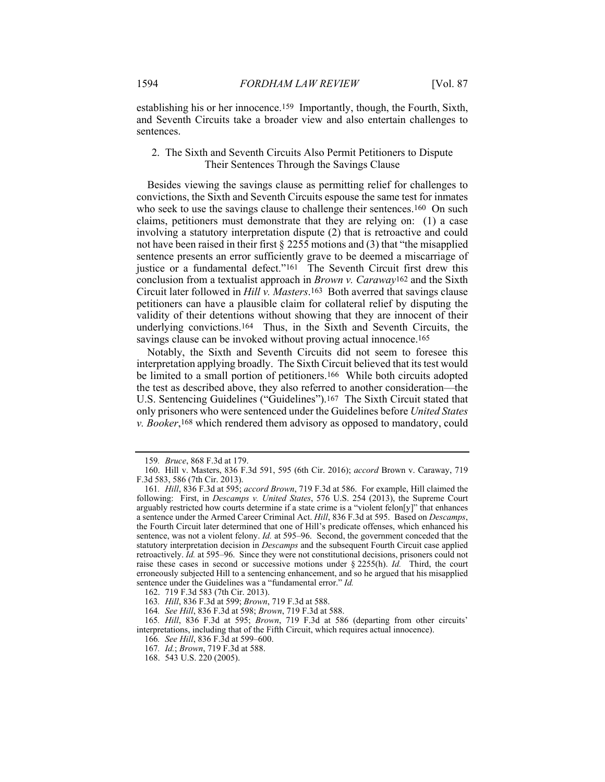establishing his or her innocence.159 Importantly, though, the Fourth, Sixth, and Seventh Circuits take a broader view and also entertain challenges to sentences.

# 2. The Sixth and Seventh Circuits Also Permit Petitioners to Dispute Their Sentences Through the Savings Clause

Besides viewing the savings clause as permitting relief for challenges to convictions, the Sixth and Seventh Circuits espouse the same test for inmates who seek to use the savings clause to challenge their sentences.<sup>160</sup> On such claims, petitioners must demonstrate that they are relying on: (1) a case involving a statutory interpretation dispute (2) that is retroactive and could not have been raised in their first § 2255 motions and (3) that "the misapplied sentence presents an error sufficiently grave to be deemed a miscarriage of justice or a fundamental defect."<sup>161</sup> The Seventh Circuit first drew this conclusion from a textualist approach in *Brown v. Caraway*162 and the Sixth Circuit later followed in *Hill v. Masters*.163 Both averred that savings clause petitioners can have a plausible claim for collateral relief by disputing the validity of their detentions without showing that they are innocent of their underlying convictions.164 Thus, in the Sixth and Seventh Circuits, the savings clause can be invoked without proving actual innocence.<sup>165</sup>

Notably, the Sixth and Seventh Circuits did not seem to foresee this interpretation applying broadly. The Sixth Circuit believed that its test would be limited to a small portion of petitioners.166 While both circuits adopted the test as described above, they also referred to another consideration—the U.S. Sentencing Guidelines ("Guidelines").167 The Sixth Circuit stated that only prisoners who were sentenced under the Guidelines before *United States v. Booker*,168 which rendered them advisory as opposed to mandatory, could

<sup>159</sup>*. Bruce*, 868 F.3d at 179.

 <sup>160.</sup> Hill v. Masters, 836 F.3d 591, 595 (6th Cir. 2016); *accord* Brown v. Caraway, 719 F.3d 583, 586 (7th Cir. 2013).

<sup>161</sup>*. Hill*, 836 F.3d at 595; *accord Brown*, 719 F.3d at 586. For example, Hill claimed the following: First, in *Descamps v. United States*, 576 U.S. 254 (2013), the Supreme Court arguably restricted how courts determine if a state crime is a "violent felon $[y]$ " that enhances a sentence under the Armed Career Criminal Act. *Hill*, 836 F.3d at 595. Based on *Descamps*, the Fourth Circuit later determined that one of Hill's predicate offenses, which enhanced his sentence, was not a violent felony. *Id.* at 595–96. Second, the government conceded that the statutory interpretation decision in *Descamps* and the subsequent Fourth Circuit case applied retroactively. *Id.* at 595–96. Since they were not constitutional decisions, prisoners could not raise these cases in second or successive motions under § 2255(h). *Id.* Third, the court erroneously subjected Hill to a sentencing enhancement, and so he argued that his misapplied sentence under the Guidelines was a "fundamental error." *Id.*

 <sup>162. 719</sup> F.3d 583 (7th Cir. 2013).

<sup>163</sup>*. Hill*, 836 F.3d at 599; *Brown*, 719 F.3d at 588.

<sup>164</sup>*. See Hill*, 836 F.3d at 598; *Brown*, 719 F.3d at 588.

<sup>165</sup>*. Hill*, 836 F.3d at 595; *Brown*, 719 F.3d at 586 (departing from other circuits' interpretations, including that of the Fifth Circuit, which requires actual innocence).

<sup>166</sup>*. See Hill*, 836 F.3d at 599–600.

<sup>167</sup>*. Id.*; *Brown*, 719 F.3d at 588.

 <sup>168. 543</sup> U.S. 220 (2005).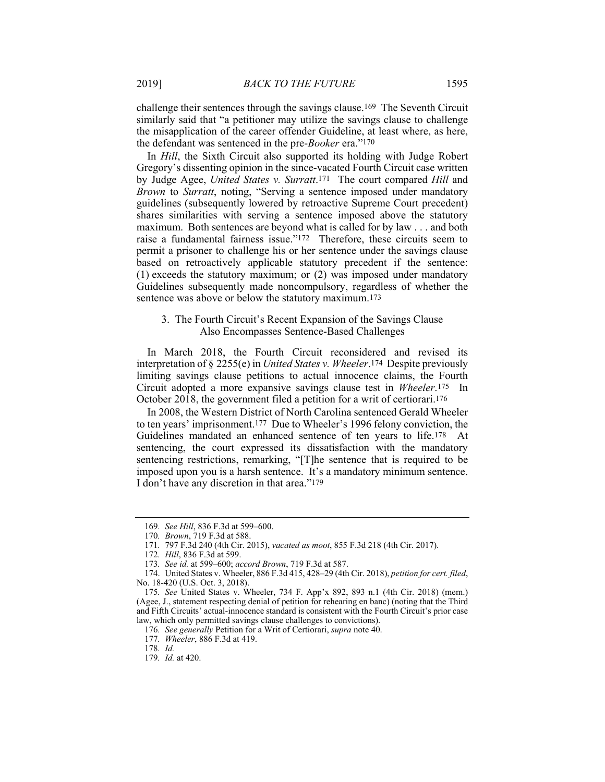challenge their sentences through the savings clause.169 The Seventh Circuit similarly said that "a petitioner may utilize the savings clause to challenge the misapplication of the career offender Guideline, at least where, as here, the defendant was sentenced in the pre-*Booker* era."170

In *Hill*, the Sixth Circuit also supported its holding with Judge Robert Gregory's dissenting opinion in the since-vacated Fourth Circuit case written by Judge Agee, *United States v. Surratt*.171 The court compared *Hill* and *Brown* to *Surratt*, noting, "Serving a sentence imposed under mandatory guidelines (subsequently lowered by retroactive Supreme Court precedent) shares similarities with serving a sentence imposed above the statutory maximum. Both sentences are beyond what is called for by law . . . and both raise a fundamental fairness issue."172 Therefore, these circuits seem to permit a prisoner to challenge his or her sentence under the savings clause based on retroactively applicable statutory precedent if the sentence: (1) exceeds the statutory maximum; or (2) was imposed under mandatory Guidelines subsequently made noncompulsory, regardless of whether the sentence was above or below the statutory maximum.173

# 3. The Fourth Circuit's Recent Expansion of the Savings Clause Also Encompasses Sentence-Based Challenges

In March 2018, the Fourth Circuit reconsidered and revised its interpretation of § 2255(e) in *United States v. Wheeler*.174 Despite previously limiting savings clause petitions to actual innocence claims, the Fourth Circuit adopted a more expansive savings clause test in *Wheeler*.175 In October 2018, the government filed a petition for a writ of certiorari.176

In 2008, the Western District of North Carolina sentenced Gerald Wheeler to ten years' imprisonment.177 Due to Wheeler's 1996 felony conviction, the Guidelines mandated an enhanced sentence of ten years to life.178 At sentencing, the court expressed its dissatisfaction with the mandatory sentencing restrictions, remarking, "[T]he sentence that is required to be imposed upon you is a harsh sentence. It's a mandatory minimum sentence. I don't have any discretion in that area."179

<sup>169</sup>*. See Hill*, 836 F.3d at 599–600.

<sup>170</sup>*. Brown*, 719 F.3d at 588.

<sup>171</sup>*.* 797 F.3d 240 (4th Cir. 2015), *vacated as moot*, 855 F.3d 218 (4th Cir. 2017).

<sup>172</sup>*. Hill*, 836 F.3d at 599.

<sup>173</sup>*. See id.* at 599–600; *accord Brown*, 719 F.3d at 587.

 <sup>174.</sup> United States v. Wheeler, 886 F.3d 415, 428–29 (4th Cir. 2018), *petition for cert. filed*, No. 18-420 (U.S. Oct. 3, 2018).

<sup>175</sup>*. See* United States v. Wheeler, 734 F. App'x 892, 893 n.1 (4th Cir. 2018) (mem.) (Agee, J., statement respecting denial of petition for rehearing en banc) (noting that the Third and Fifth Circuits' actual-innocence standard is consistent with the Fourth Circuit's prior case law, which only permitted savings clause challenges to convictions).

<sup>176</sup>*. See generally* Petition for a Writ of Certiorari, *supra* note 40.

<sup>177</sup>*. Wheeler*, 886 F.3d at 419.

<sup>178</sup>*. Id.*

<sup>179</sup>*. Id.* at 420.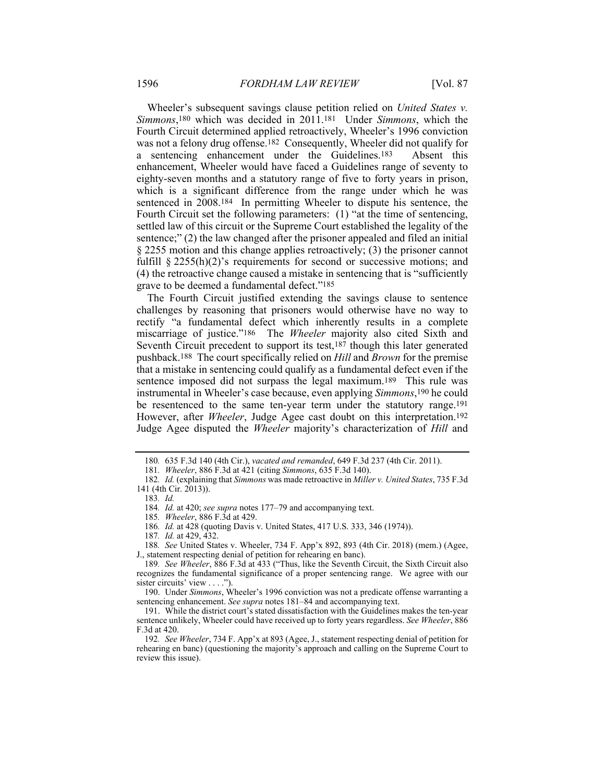Wheeler's subsequent savings clause petition relied on *United States v. Simmons*,180 which was decided in 2011.181 Under *Simmons*, which the Fourth Circuit determined applied retroactively, Wheeler's 1996 conviction was not a felony drug offense.182 Consequently, Wheeler did not qualify for a sentencing enhancement under the Guidelines.183 Absent this enhancement, Wheeler would have faced a Guidelines range of seventy to eighty-seven months and a statutory range of five to forty years in prison, which is a significant difference from the range under which he was sentenced in 2008.184 In permitting Wheeler to dispute his sentence, the Fourth Circuit set the following parameters: (1) "at the time of sentencing, settled law of this circuit or the Supreme Court established the legality of the sentence;" (2) the law changed after the prisoner appealed and filed an initial § 2255 motion and this change applies retroactively; (3) the prisoner cannot fulfill  $§$  2255(h)(2)'s requirements for second or successive motions; and (4) the retroactive change caused a mistake in sentencing that is "sufficiently grave to be deemed a fundamental defect."185

The Fourth Circuit justified extending the savings clause to sentence challenges by reasoning that prisoners would otherwise have no way to rectify "a fundamental defect which inherently results in a complete miscarriage of justice."186 The *Wheeler* majority also cited Sixth and Seventh Circuit precedent to support its test,<sup>187</sup> though this later generated pushback.188 The court specifically relied on *Hill* and *Brown* for the premise that a mistake in sentencing could qualify as a fundamental defect even if the sentence imposed did not surpass the legal maximum.189 This rule was instrumental in Wheeler's case because, even applying *Simmons*,190 he could be resentenced to the same ten-year term under the statutory range.191 However, after *Wheeler*, Judge Agee cast doubt on this interpretation.192 Judge Agee disputed the *Wheeler* majority's characterization of *Hill* and

183*. Id.*

185*. Wheeler*, 886 F.3d at 429.

186*. Id.* at 428 (quoting Davis v. United States, 417 U.S. 333, 346 (1974)).

187*. Id.* at 429, 432.

188*. See* United States v. Wheeler, 734 F. App'x 892, 893 (4th Cir. 2018) (mem.) (Agee, J., statement respecting denial of petition for rehearing en banc).

 190. Under *Simmons*, Wheeler's 1996 conviction was not a predicate offense warranting a sentencing enhancement. *See supra* notes 181–84 and accompanying text.

<sup>180</sup>*.* 635 F.3d 140 (4th Cir.), *vacated and remanded*, 649 F.3d 237 (4th Cir. 2011).

<sup>181</sup>*. Wheeler*, 886 F.3d at 421 (citing *Simmons*, 635 F.3d 140).

<sup>182</sup>*. Id.* (explaining that *Simmons* was made retroactive in *Miller v. United States*, 735 F.3d 141 (4th Cir. 2013)).

<sup>184</sup>*. Id.* at 420; *see supra* notes 177–79 and accompanying text.

<sup>189</sup>*. See Wheeler*, 886 F.3d at 433 ("Thus, like the Seventh Circuit, the Sixth Circuit also recognizes the fundamental significance of a proper sentencing range. We agree with our sister circuits' view . . . .").

 <sup>191.</sup> While the district court's stated dissatisfaction with the Guidelines makes the ten-year sentence unlikely, Wheeler could have received up to forty years regardless. *See Wheeler*, 886 F.3d at 420.

<sup>192</sup>*. See Wheeler*, 734 F. App'x at 893 (Agee, J., statement respecting denial of petition for rehearing en banc) (questioning the majority's approach and calling on the Supreme Court to review this issue).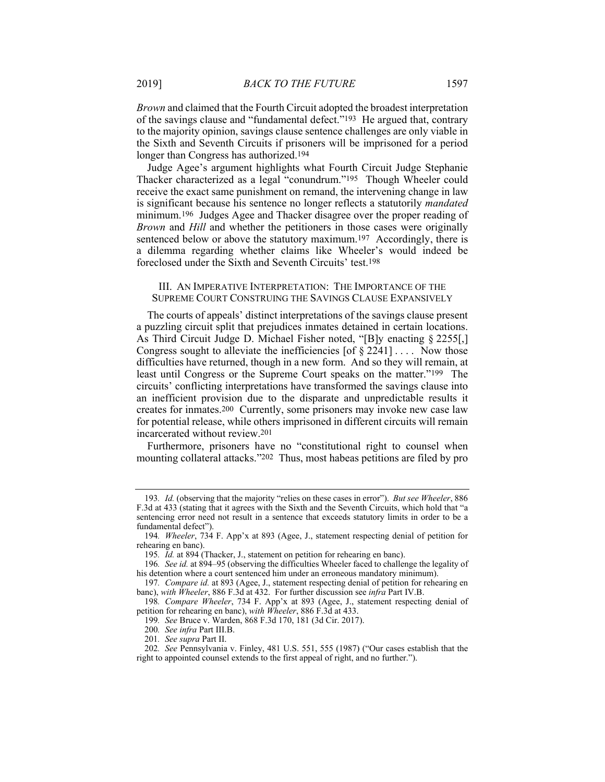*Brown* and claimed that the Fourth Circuit adopted the broadest interpretation of the savings clause and "fundamental defect."193 He argued that, contrary to the majority opinion, savings clause sentence challenges are only viable in the Sixth and Seventh Circuits if prisoners will be imprisoned for a period longer than Congress has authorized.194

Judge Agee's argument highlights what Fourth Circuit Judge Stephanie Thacker characterized as a legal "conundrum."195 Though Wheeler could receive the exact same punishment on remand, the intervening change in law is significant because his sentence no longer reflects a statutorily *mandated* minimum.196 Judges Agee and Thacker disagree over the proper reading of *Brown* and *Hill* and whether the petitioners in those cases were originally sentenced below or above the statutory maximum.<sup>197</sup> Accordingly, there is a dilemma regarding whether claims like Wheeler's would indeed be foreclosed under the Sixth and Seventh Circuits' test.198

#### III. AN IMPERATIVE INTERPRETATION: THE IMPORTANCE OF THE SUPREME COURT CONSTRUING THE SAVINGS CLAUSE EXPANSIVELY

The courts of appeals' distinct interpretations of the savings clause present a puzzling circuit split that prejudices inmates detained in certain locations. As Third Circuit Judge D. Michael Fisher noted, "[B]y enacting § 2255[,] Congress sought to alleviate the inefficiencies  $\lceil \frac{6}{5} \cdot 2241 \rceil \ldots$  Now those difficulties have returned, though in a new form. And so they will remain, at least until Congress or the Supreme Court speaks on the matter."199 The circuits' conflicting interpretations have transformed the savings clause into an inefficient provision due to the disparate and unpredictable results it creates for inmates.200 Currently, some prisoners may invoke new case law for potential release, while others imprisoned in different circuits will remain incarcerated without review.201

Furthermore, prisoners have no "constitutional right to counsel when mounting collateral attacks."202 Thus, most habeas petitions are filed by pro

<sup>193</sup>*. Id.* (observing that the majority "relies on these cases in error"). *But see Wheeler*, 886 F.3d at 433 (stating that it agrees with the Sixth and the Seventh Circuits, which hold that "a sentencing error need not result in a sentence that exceeds statutory limits in order to be a fundamental defect").

<sup>194</sup>*. Wheeler*, 734 F. App'x at 893 (Agee, J., statement respecting denial of petition for rehearing en banc).

<sup>195</sup>*. Id.* at 894 (Thacker, J., statement on petition for rehearing en banc).

<sup>196</sup>*. See id.* at 894–95 (observing the difficulties Wheeler faced to challenge the legality of his detention where a court sentenced him under an erroneous mandatory minimum).

<sup>197</sup>*. Compare id.* at 893 (Agee, J., statement respecting denial of petition for rehearing en banc), *with Wheeler*, 886 F.3d at 432. For further discussion see *infra* Part IV.B.

<sup>198</sup>*. Compare Wheeler*, 734 F. App'x at 893 (Agee, J., statement respecting denial of petition for rehearing en banc), *with Wheeler*, 886 F.3d at 433.

<sup>199</sup>*. See* Bruce v. Warden, 868 F.3d 170, 181 (3d Cir. 2017).

<sup>200</sup>*. See infra* Part III.B.

<sup>201</sup>*. See supra* Part II.

<sup>202</sup>*. See* Pennsylvania v. Finley, 481 U.S. 551, 555 (1987) ("Our cases establish that the right to appointed counsel extends to the first appeal of right, and no further.").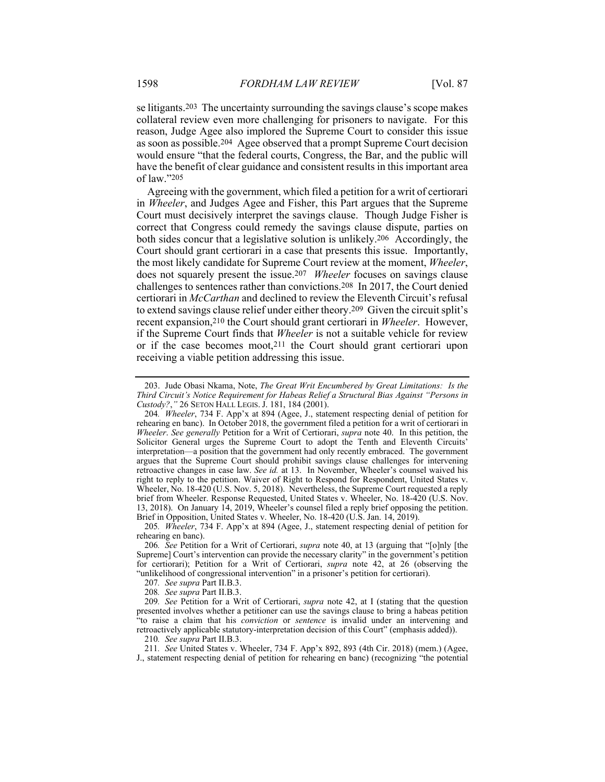se litigants.203 The uncertainty surrounding the savings clause's scope makes collateral review even more challenging for prisoners to navigate. For this reason, Judge Agee also implored the Supreme Court to consider this issue as soon as possible.204 Agee observed that a prompt Supreme Court decision would ensure "that the federal courts, Congress, the Bar, and the public will have the benefit of clear guidance and consistent results in this important area of law."205

Agreeing with the government, which filed a petition for a writ of certiorari in *Wheeler*, and Judges Agee and Fisher, this Part argues that the Supreme Court must decisively interpret the savings clause. Though Judge Fisher is correct that Congress could remedy the savings clause dispute, parties on both sides concur that a legislative solution is unlikely.206 Accordingly, the Court should grant certiorari in a case that presents this issue. Importantly, the most likely candidate for Supreme Court review at the moment, *Wheeler*, does not squarely present the issue.207 *Wheeler* focuses on savings clause challenges to sentences rather than convictions.208 In 2017, the Court denied certiorari in *McCarthan* and declined to review the Eleventh Circuit's refusal to extend savings clause relief under either theory.209 Given the circuit split's recent expansion,210 the Court should grant certiorari in *Wheeler*. However, if the Supreme Court finds that *Wheeler* is not a suitable vehicle for review or if the case becomes moot,211 the Court should grant certiorari upon receiving a viable petition addressing this issue.

207*. See supra* Part II.B.3.

208*. See supra* Part II.B.3.

209*. See* Petition for a Writ of Certiorari, *supra* note 42, at I (stating that the question presented involves whether a petitioner can use the savings clause to bring a habeas petition "to raise a claim that his *conviction* or *sentence* is invalid under an intervening and retroactively applicable statutory-interpretation decision of this Court" (emphasis added)).

210*. See supra* Part II.B.3.

211*. See* United States v. Wheeler, 734 F. App'x 892, 893 (4th Cir. 2018) (mem.) (Agee,

J., statement respecting denial of petition for rehearing en banc) (recognizing "the potential

 <sup>203.</sup> Jude Obasi Nkama, Note, *The Great Writ Encumbered by Great Limitations: Is the Third Circuit's Notice Requirement for Habeas Relief a Structural Bias Against "Persons in Custody?*,*"* 26 SETON HALL LEGIS. J. 181, 184 (2001).

<sup>204</sup>*. Wheeler*, 734 F. App'x at 894 (Agee, J., statement respecting denial of petition for rehearing en banc). In October 2018, the government filed a petition for a writ of certiorari in *Wheeler*. *See generally* Petition for a Writ of Certiorari, *supra* note 40. In this petition, the Solicitor General urges the Supreme Court to adopt the Tenth and Eleventh Circuits' interpretation—a position that the government had only recently embraced. The government argues that the Supreme Court should prohibit savings clause challenges for intervening retroactive changes in case law. *See id.* at 13. In November, Wheeler's counsel waived his right to reply to the petition. Waiver of Right to Respond for Respondent, United States v. Wheeler, No. 18-420 (U.S. Nov. 5, 2018). Nevertheless, the Supreme Court requested a reply brief from Wheeler. Response Requested, United States v. Wheeler, No. 18-420 (U.S. Nov. 13, 2018). On January 14, 2019, Wheeler's counsel filed a reply brief opposing the petition. Brief in Opposition, United States v. Wheeler, No. 18-420 (U.S. Jan. 14, 2019).

<sup>205</sup>*. Wheeler*, 734 F. App'x at 894 (Agee, J., statement respecting denial of petition for rehearing en banc).

<sup>206</sup>*. See* Petition for a Writ of Certiorari, *supra* note 40, at 13 (arguing that "[o]nly [the Supreme] Court's intervention can provide the necessary clarity" in the government's petition for certiorari); Petition for a Writ of Certiorari, *supra* note 42, at 26 (observing the "unlikelihood of congressional intervention" in a prisoner's petition for certiorari).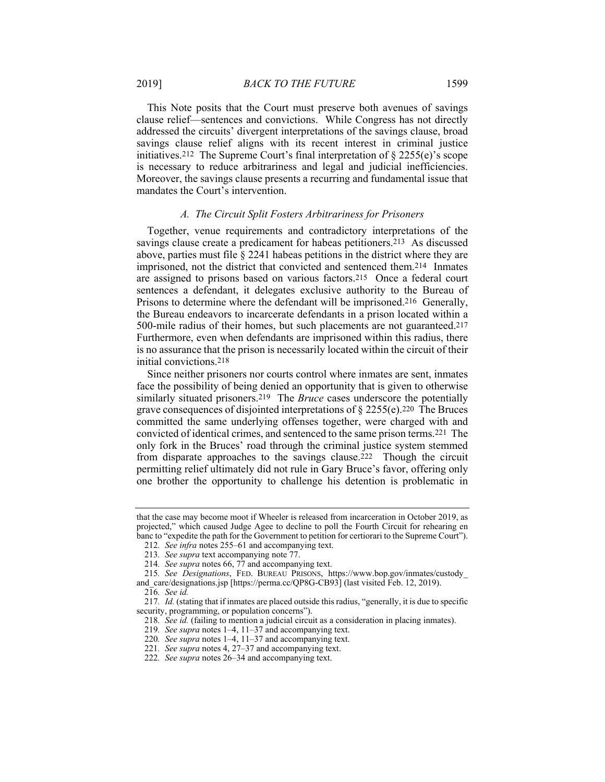This Note posits that the Court must preserve both avenues of savings clause relief—sentences and convictions. While Congress has not directly addressed the circuits' divergent interpretations of the savings clause, broad savings clause relief aligns with its recent interest in criminal justice initiatives.212 The Supreme Court's final interpretation of § 2255(e)'s scope is necessary to reduce arbitrariness and legal and judicial inefficiencies. Moreover, the savings clause presents a recurring and fundamental issue that mandates the Court's intervention.

#### *A. The Circuit Split Fosters Arbitrariness for Prisoners*

Together, venue requirements and contradictory interpretations of the savings clause create a predicament for habeas petitioners.<sup>213</sup> As discussed above, parties must file § 2241 habeas petitions in the district where they are imprisoned, not the district that convicted and sentenced them.214 Inmates are assigned to prisons based on various factors.215 Once a federal court sentences a defendant, it delegates exclusive authority to the Bureau of Prisons to determine where the defendant will be imprisoned.216 Generally, the Bureau endeavors to incarcerate defendants in a prison located within a 500-mile radius of their homes, but such placements are not guaranteed.217 Furthermore, even when defendants are imprisoned within this radius, there is no assurance that the prison is necessarily located within the circuit of their initial convictions.218

Since neither prisoners nor courts control where inmates are sent, inmates face the possibility of being denied an opportunity that is given to otherwise similarly situated prisoners.219 The *Bruce* cases underscore the potentially grave consequences of disjointed interpretations of § 2255(e).220 The Bruces committed the same underlying offenses together, were charged with and convicted of identical crimes, and sentenced to the same prison terms.221 The only fork in the Bruces' road through the criminal justice system stemmed from disparate approaches to the savings clause.222 Though the circuit permitting relief ultimately did not rule in Gary Bruce's favor, offering only one brother the opportunity to challenge his detention is problematic in

that the case may become moot if Wheeler is released from incarceration in October 2019, as projected," which caused Judge Agee to decline to poll the Fourth Circuit for rehearing en banc to "expedite the path for the Government to petition for certiorari to the Supreme Court").

<sup>212</sup>*. See infra* notes 255–61 and accompanying text.

<sup>213</sup>*. See supra* text accompanying note 77.

<sup>214</sup>*. See supra* notes 66, 77 and accompanying text.

<sup>215</sup>*. See Designations*, FED. BUREAU PRISONS, https://www.bop.gov/inmates/custody\_ and care/designations.jsp [https://perma.cc/QP8G-CB93] (last visited Feb. 12, 2019).

<sup>216</sup>*. See id.*

<sup>217</sup>*. Id.* (stating that if inmates are placed outside this radius, "generally, it is due to specific security, programming, or population concerns").

<sup>218</sup>*. See id.* (failing to mention a judicial circuit as a consideration in placing inmates).

<sup>219</sup>*. See supra* notes 1–4, 11–37 and accompanying text.

<sup>220</sup>*. See supra* notes 1–4, 11–37 and accompanying text.

<sup>221</sup>*. See supra* notes 4, 27–37 and accompanying text.

<sup>222</sup>*. See supra* notes 26–34 and accompanying text.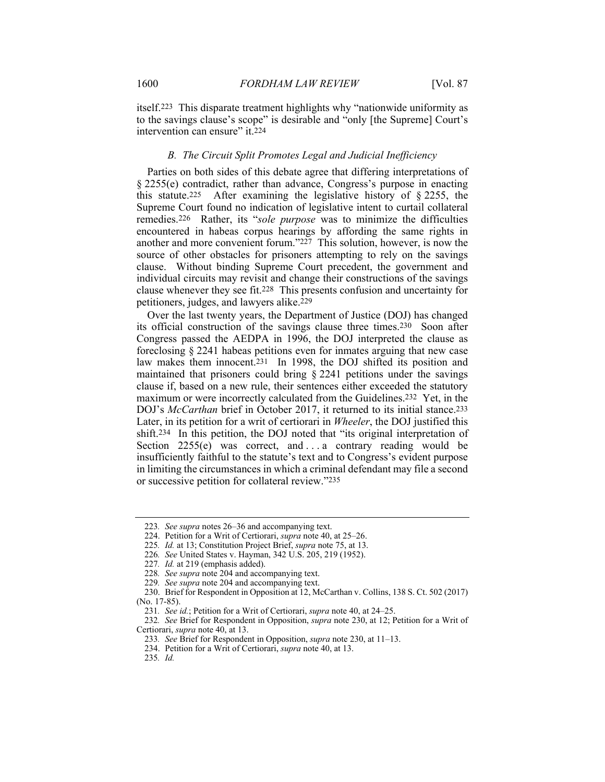itself.223 This disparate treatment highlights why "nationwide uniformity as to the savings clause's scope" is desirable and "only [the Supreme] Court's intervention can ensure" it.<sup>224</sup>

### *B. The Circuit Split Promotes Legal and Judicial Inefficiency*

Parties on both sides of this debate agree that differing interpretations of § 2255(e) contradict, rather than advance, Congress's purpose in enacting this statute.<sup>225</sup> After examining the legislative history of  $\S$  2255, the Supreme Court found no indication of legislative intent to curtail collateral remedies.226 Rather, its "*sole purpose* was to minimize the difficulties encountered in habeas corpus hearings by affording the same rights in another and more convenient forum."227 This solution, however, is now the source of other obstacles for prisoners attempting to rely on the savings clause. Without binding Supreme Court precedent, the government and individual circuits may revisit and change their constructions of the savings clause whenever they see fit.228 This presents confusion and uncertainty for petitioners, judges, and lawyers alike.229

Over the last twenty years, the Department of Justice (DOJ) has changed its official construction of the savings clause three times.230 Soon after Congress passed the AEDPA in 1996, the DOJ interpreted the clause as foreclosing § 2241 habeas petitions even for inmates arguing that new case law makes them innocent.231 In 1998, the DOJ shifted its position and maintained that prisoners could bring § 2241 petitions under the savings clause if, based on a new rule, their sentences either exceeded the statutory maximum or were incorrectly calculated from the Guidelines.232 Yet, in the DOJ's *McCarthan* brief in October 2017, it returned to its initial stance.233 Later, in its petition for a writ of certiorari in *Wheeler*, the DOJ justified this shift.234 In this petition, the DOJ noted that "its original interpretation of Section  $2255(e)$  was correct, and ... a contrary reading would be insufficiently faithful to the statute's text and to Congress's evident purpose in limiting the circumstances in which a criminal defendant may file a second or successive petition for collateral review."235

<sup>223</sup>*. See supra* notes 26–36 and accompanying text.

 <sup>224.</sup> Petition for a Writ of Certiorari, *supra* note 40, at 25–26.

<sup>225</sup>*. Id.* at 13; Constitution Project Brief, *supra* note 75, at 13.

<sup>226</sup>*. See* United States v. Hayman, 342 U.S. 205, 219 (1952).

<sup>227</sup>*. Id.* at 219 (emphasis added).

<sup>228</sup>*. See supra* note 204 and accompanying text.

<sup>229</sup>*. See supra* note 204 and accompanying text.

 <sup>230.</sup> Brief for Respondent in Opposition at 12, McCarthan v. Collins, 138 S. Ct. 502 (2017) (No. 17-85).

<sup>231</sup>*. See id.*; Petition for a Writ of Certiorari, *supra* note 40, at 24–25.

<sup>232</sup>*. See* Brief for Respondent in Opposition, *supra* note 230, at 12; Petition for a Writ of Certiorari, *supra* note 40, at 13.

<sup>233</sup>*. See* Brief for Respondent in Opposition, *supra* note 230, at 11–13.

 <sup>234.</sup> Petition for a Writ of Certiorari, *supra* note 40, at 13.

<sup>235</sup>*. Id.*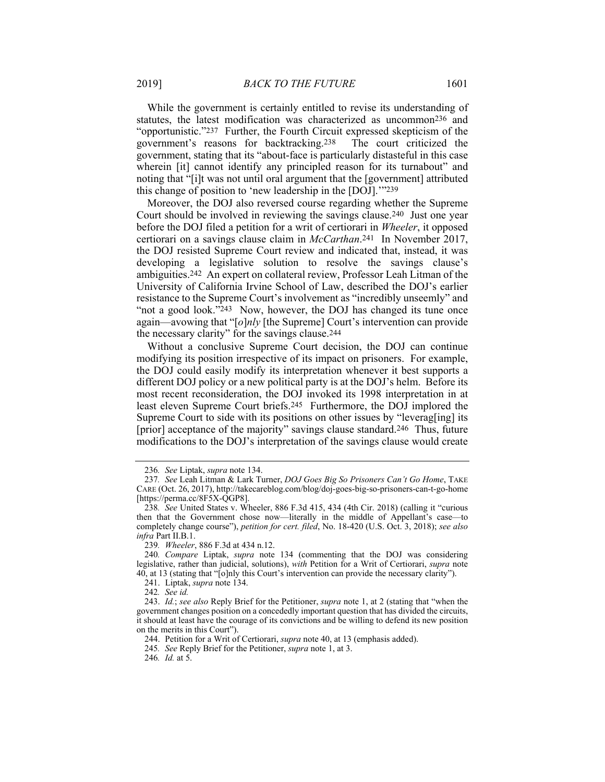While the government is certainly entitled to revise its understanding of statutes, the latest modification was characterized as uncommon236 and "opportunistic."237 Further, the Fourth Circuit expressed skepticism of the government's reasons for backtracking.238 The court criticized the government, stating that its "about-face is particularly distasteful in this case wherein [it] cannot identify any principled reason for its turnabout" and noting that "[i]t was not until oral argument that the [government] attributed this change of position to 'new leadership in the [DOJ].'"239

Moreover, the DOJ also reversed course regarding whether the Supreme Court should be involved in reviewing the savings clause.240 Just one year before the DOJ filed a petition for a writ of certiorari in *Wheeler*, it opposed certiorari on a savings clause claim in *McCarthan*.241 In November 2017, the DOJ resisted Supreme Court review and indicated that, instead, it was developing a legislative solution to resolve the savings clause's ambiguities.242 An expert on collateral review, Professor Leah Litman of the University of California Irvine School of Law, described the DOJ's earlier resistance to the Supreme Court's involvement as "incredibly unseemly" and "not a good look."243 Now, however, the DOJ has changed its tune once again—avowing that "[*o*]*nly* [the Supreme] Court's intervention can provide the necessary clarity" for the savings clause.244

Without a conclusive Supreme Court decision, the DOJ can continue modifying its position irrespective of its impact on prisoners. For example, the DOJ could easily modify its interpretation whenever it best supports a different DOJ policy or a new political party is at the DOJ's helm. Before its most recent reconsideration, the DOJ invoked its 1998 interpretation in at least eleven Supreme Court briefs.245 Furthermore, the DOJ implored the Supreme Court to side with its positions on other issues by "leverag[ing] its [prior] acceptance of the majority" savings clause standard.246 Thus, future modifications to the DOJ's interpretation of the savings clause would create

<sup>236</sup>*. See* Liptak, *supra* note 134.

<sup>237</sup>*. See* Leah Litman & Lark Turner, *DOJ Goes Big So Prisoners Can't Go Home*, TAKE CARE (Oct. 26, 2017), http://takecareblog.com/blog/doj-goes-big-so-prisoners-can-t-go-home [https://perma.cc/8F5X-QGP8].

<sup>238</sup>*. See* United States v. Wheeler, 886 F.3d 415, 434 (4th Cir. 2018) (calling it "curious then that the Government chose now—literally in the middle of Appellant's case—to completely change course"), *petition for cert. filed*, No. 18-420 (U.S. Oct. 3, 2018); *see also infra* Part II.B.1.

<sup>239</sup>*. Wheeler*, 886 F.3d at 434 n.12.

<sup>240</sup>*. Compare* Liptak, *supra* note 134 (commenting that the DOJ was considering legislative, rather than judicial, solutions), *with* Petition for a Writ of Certiorari, *supra* note 40, at 13 (stating that "[o]nly this Court's intervention can provide the necessary clarity").

 <sup>241.</sup> Liptak, *supra* note 134.

<sup>242</sup>*. See id.*

 <sup>243.</sup> *Id.*; *see also* Reply Brief for the Petitioner, *supra* note 1, at 2 (stating that "when the government changes position on a concededly important question that has divided the circuits, it should at least have the courage of its convictions and be willing to defend its new position on the merits in this Court").

 <sup>244.</sup> Petition for a Writ of Certiorari, *supra* note 40, at 13 (emphasis added).

<sup>245</sup>*. See* Reply Brief for the Petitioner, *supra* note 1, at 3.

<sup>246</sup>*. Id.* at 5.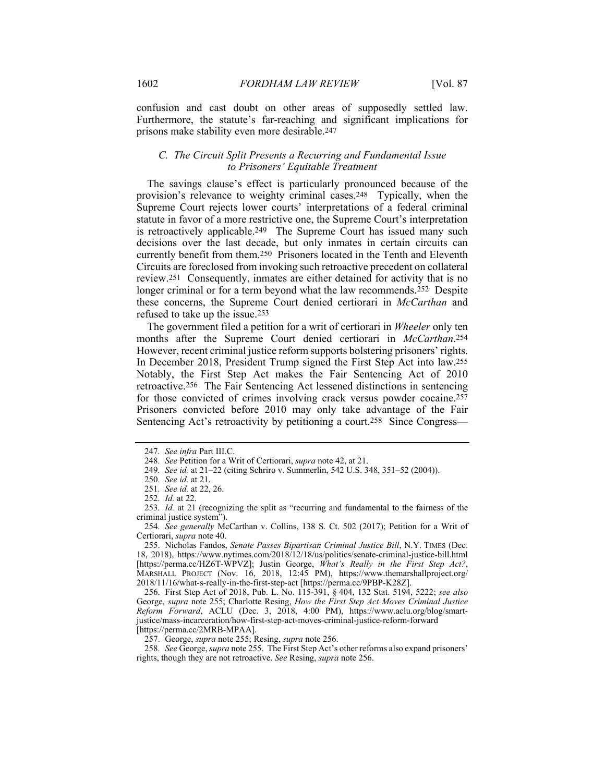confusion and cast doubt on other areas of supposedly settled law. Furthermore, the statute's far-reaching and significant implications for prisons make stability even more desirable.247

# *C. The Circuit Split Presents a Recurring and Fundamental Issue to Prisoners' Equitable Treatment*

The savings clause's effect is particularly pronounced because of the provision's relevance to weighty criminal cases.248 Typically, when the Supreme Court rejects lower courts' interpretations of a federal criminal statute in favor of a more restrictive one, the Supreme Court's interpretation is retroactively applicable.249 The Supreme Court has issued many such decisions over the last decade, but only inmates in certain circuits can currently benefit from them.250 Prisoners located in the Tenth and Eleventh Circuits are foreclosed from invoking such retroactive precedent on collateral review.251 Consequently, inmates are either detained for activity that is no longer criminal or for a term beyond what the law recommends.<sup>252</sup> Despite these concerns, the Supreme Court denied certiorari in *McCarthan* and refused to take up the issue.253

The government filed a petition for a writ of certiorari in *Wheeler* only ten months after the Supreme Court denied certiorari in *McCarthan*.254 However, recent criminal justice reform supports bolstering prisoners' rights. In December 2018, President Trump signed the First Step Act into law.255 Notably, the First Step Act makes the Fair Sentencing Act of 2010 retroactive.256 The Fair Sentencing Act lessened distinctions in sentencing for those convicted of crimes involving crack versus powder cocaine.257 Prisoners convicted before 2010 may only take advantage of the Fair Sentencing Act's retroactivity by petitioning a court.258 Since Congress—

<sup>247</sup>*. See infra* Part III.C.

<sup>248</sup>*. See* Petition for a Writ of Certiorari, *supra* note 42, at 21.

<sup>249</sup>*. See id.* at 21–22 (citing Schriro v. Summerlin, 542 U.S. 348, 351–52 (2004)).

<sup>250</sup>*. See id.* at 21.

<sup>251</sup>*. See id.* at 22, 26.

<sup>252</sup>*. Id.* at 22.

<sup>253</sup>*. Id.* at 21 (recognizing the split as "recurring and fundamental to the fairness of the criminal justice system").

<sup>254</sup>*. See generally* McCarthan v. Collins, 138 S. Ct. 502 (2017); Petition for a Writ of Certiorari, *supra* note 40.

 <sup>255.</sup> Nicholas Fandos, *Senate Passes Bipartisan Criminal Justice Bill*, N.Y. TIMES (Dec. 18, 2018), https://www.nytimes.com/2018/12/18/us/politics/senate-criminal-justice-bill.html [https://perma.cc/HZ6T-WPVZ]; Justin George, *What's Really in the First Step Act?*, MARSHALL PROJECT (Nov. 16, 2018, 12:45 PM), https://www.themarshallproject.org/ 2018/11/16/what-s-really-in-the-first-step-act [https://perma.cc/9PBP-K28Z].

 <sup>256.</sup> First Step Act of 2018, Pub. L. No. 115-391, § 404, 132 Stat. 5194, 5222; *see also* George, *supra* note 255; Charlotte Resing, *How the First Step Act Moves Criminal Justice Reform Forward*, ACLU (Dec. 3, 2018, 4:00 PM), https://www.aclu.org/blog/smartjustice/mass-incarceration/how-first-step-act-moves-criminal-justice-reform-forward [https://perma.cc/2MRB-MPAA].

 <sup>257.</sup> George, *supra* note 255; Resing, *supra* note 256.

<sup>258</sup>*. See* George, *supra* note 255. The First Step Act's other reforms also expand prisoners' rights, though they are not retroactive. *See* Resing, *supra* note 256.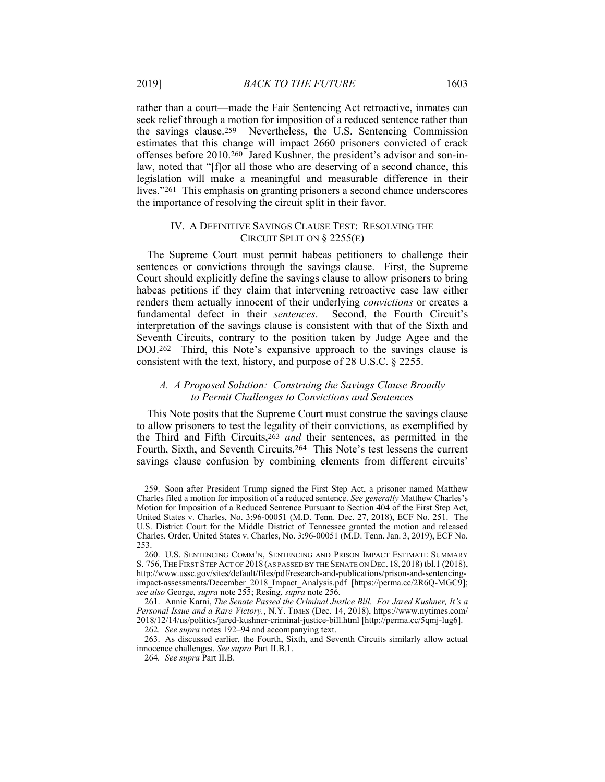rather than a court—made the Fair Sentencing Act retroactive, inmates can seek relief through a motion for imposition of a reduced sentence rather than the savings clause.259 Nevertheless, the U.S. Sentencing Commission estimates that this change will impact 2660 prisoners convicted of crack offenses before 2010.260 Jared Kushner, the president's advisor and son-inlaw, noted that "[f]or all those who are deserving of a second chance, this legislation will make a meaningful and measurable difference in their lives."261 This emphasis on granting prisoners a second chance underscores the importance of resolving the circuit split in their favor.

#### IV. A DEFINITIVE SAVINGS CLAUSE TEST: RESOLVING THE CIRCUIT SPLIT ON § 2255(E)

The Supreme Court must permit habeas petitioners to challenge their sentences or convictions through the savings clause. First, the Supreme Court should explicitly define the savings clause to allow prisoners to bring habeas petitions if they claim that intervening retroactive case law either renders them actually innocent of their underlying *convictions* or creates a fundamental defect in their *sentences*. Second, the Fourth Circuit's interpretation of the savings clause is consistent with that of the Sixth and Seventh Circuits, contrary to the position taken by Judge Agee and the DOJ.262 Third, this Note's expansive approach to the savings clause is consistent with the text, history, and purpose of 28 U.S.C. § 2255.

# *A. A Proposed Solution: Construing the Savings Clause Broadly to Permit Challenges to Convictions and Sentences*

This Note posits that the Supreme Court must construe the savings clause to allow prisoners to test the legality of their convictions, as exemplified by the Third and Fifth Circuits,263 *and* their sentences, as permitted in the Fourth, Sixth, and Seventh Circuits.264 This Note's test lessens the current savings clause confusion by combining elements from different circuits'

 <sup>259.</sup> Soon after President Trump signed the First Step Act, a prisoner named Matthew Charles filed a motion for imposition of a reduced sentence. *See generally* Matthew Charles's Motion for Imposition of a Reduced Sentence Pursuant to Section 404 of the First Step Act, United States v. Charles, No. 3:96-00051 (M.D. Tenn. Dec. 27, 2018), ECF No. 251. The U.S. District Court for the Middle District of Tennessee granted the motion and released Charles. Order, United States v. Charles, No. 3:96-00051 (M.D. Tenn. Jan. 3, 2019), ECF No. 253.

 <sup>260.</sup> U.S. SENTENCING COMM'N, SENTENCING AND PRISON IMPACT ESTIMATE SUMMARY S. 756,THE FIRST STEP ACT OF 2018 (AS PASSED BY THE SENATE ON DEC. 18, 2018) tbl.1 (2018), http://www.ussc.gov/sites/default/files/pdf/research-and-publications/prison-and-sentencingimpact-assessments/December\_2018\_Impact\_Analysis.pdf [https://perma.cc/2R6Q-MGC9]; *see also* George, *supra* note 255; Resing, *supra* note 256.

 <sup>261.</sup> Annie Karni, *The Senate Passed the Criminal Justice Bill. For Jared Kushner, It's a Personal Issue and a Rare Victory.*, N.Y. TIMES (Dec. 14, 2018), https://www.nytimes.com/ 2018/12/14/us/politics/jared-kushner-criminal-justice-bill.html [http://perma.cc/5qmj-lug6]. 262*. See supra* notes 192–94 and accompanying text.

 <sup>263.</sup> As discussed earlier, the Fourth, Sixth, and Seventh Circuits similarly allow actual innocence challenges. *See supra* Part II.B.1.

<sup>264</sup>*. See supra* Part II.B.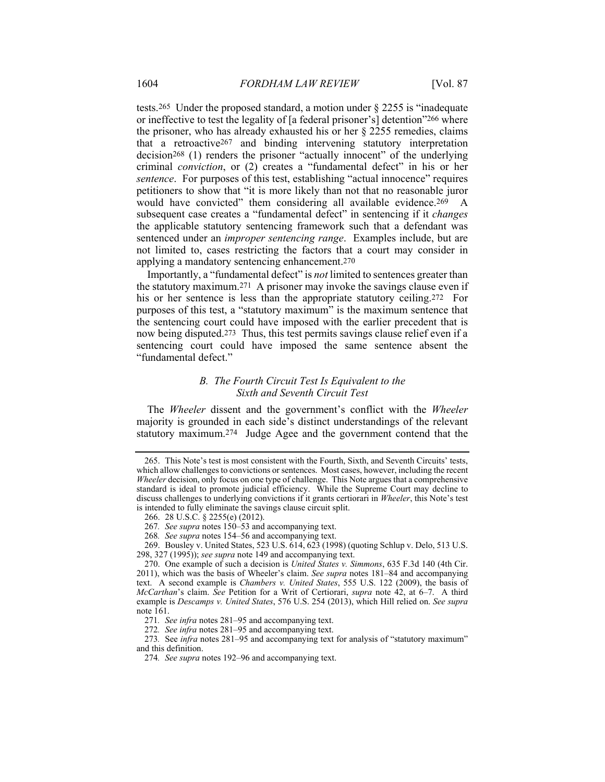tests.265 Under the proposed standard, a motion under § 2255 is "inadequate or ineffective to test the legality of [a federal prisoner's] detention"266 where the prisoner, who has already exhausted his or her § 2255 remedies, claims that a retroactive267 and binding intervening statutory interpretation decision268 (1) renders the prisoner "actually innocent" of the underlying criminal *conviction*, or (2) creates a "fundamental defect" in his or her *sentence*. For purposes of this test, establishing "actual innocence" requires petitioners to show that "it is more likely than not that no reasonable juror would have convicted" them considering all available evidence.<sup>269</sup> A subsequent case creates a "fundamental defect" in sentencing if it *changes* the applicable statutory sentencing framework such that a defendant was sentenced under an *improper sentencing range*. Examples include, but are not limited to, cases restricting the factors that a court may consider in applying a mandatory sentencing enhancement.270

Importantly, a "fundamental defect" is *not* limited to sentences greater than the statutory maximum.271 A prisoner may invoke the savings clause even if his or her sentence is less than the appropriate statutory ceiling.<sup>272</sup> For purposes of this test, a "statutory maximum" is the maximum sentence that the sentencing court could have imposed with the earlier precedent that is now being disputed.273 Thus, this test permits savings clause relief even if a sentencing court could have imposed the same sentence absent the "fundamental defect."

# *B. The Fourth Circuit Test Is Equivalent to the Sixth and Seventh Circuit Test*

The *Wheeler* dissent and the government's conflict with the *Wheeler* majority is grounded in each side's distinct understandings of the relevant statutory maximum.274 Judge Agee and the government contend that the

 <sup>265.</sup> This Note's test is most consistent with the Fourth, Sixth, and Seventh Circuits' tests, which allow challenges to convictions or sentences. Most cases, however, including the recent *Wheeler* decision, only focus on one type of challenge. This Note argues that a comprehensive standard is ideal to promote judicial efficiency. While the Supreme Court may decline to discuss challenges to underlying convictions if it grants certiorari in *Wheeler*, this Note's test is intended to fully eliminate the savings clause circuit split.

 <sup>266. 28</sup> U.S.C. § 2255(e) (2012).

<sup>267</sup>*. See supra* notes 150–53 and accompanying text.

<sup>268</sup>*. See supra* notes 154–56 and accompanying text.

 <sup>269.</sup> Bousley v. United States, 523 U.S. 614, 623 (1998) (quoting Schlup v. Delo, 513 U.S. 298, 327 (1995)); *see supra* note 149 and accompanying text.

 <sup>270.</sup> One example of such a decision is *United States v. Simmons*, 635 F.3d 140 (4th Cir. 2011), which was the basis of Wheeler's claim. *See supra* notes 181–84 and accompanying text. A second example is *Chambers v. United States*, 555 U.S. 122 (2009), the basis of *McCarthan*'s claim. *See* Petition for a Writ of Certiorari, *supra* note 42, at 6–7. A third example is *Descamps v. United States*, 576 U.S. 254 (2013), which Hill relied on. *See supra* note 161.

<sup>271</sup>*. See infra* notes 281–95 and accompanying text.

<sup>272</sup>*. See infra* notes 281–95 and accompanying text.

<sup>273</sup>*.* See *infra* notes 281–95 and accompanying text for analysis of "statutory maximum" and this definition.

<sup>274</sup>*. See supra* notes 192–96 and accompanying text.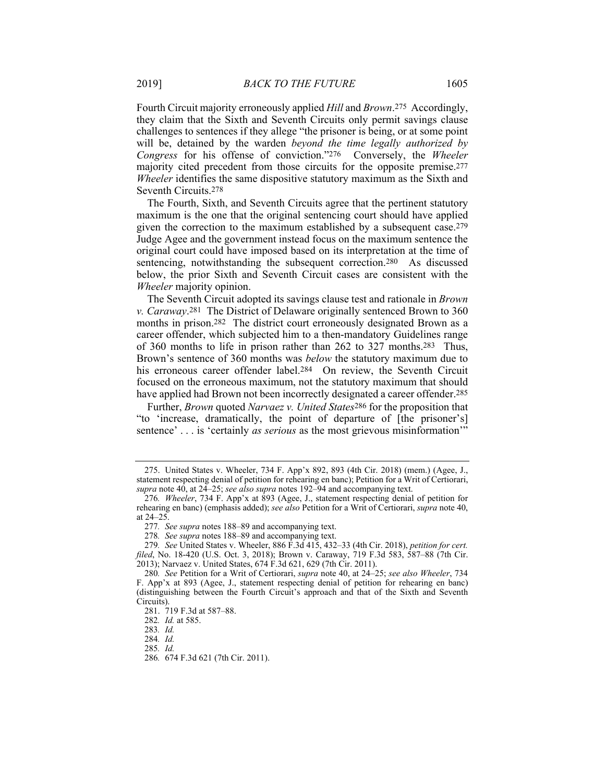Fourth Circuit majority erroneously applied *Hill* and *Brown*.275 Accordingly, they claim that the Sixth and Seventh Circuits only permit savings clause challenges to sentences if they allege "the prisoner is being, or at some point will be, detained by the warden *beyond the time legally authorized by Congress* for his offense of conviction."276 Conversely, the *Wheeler* majority cited precedent from those circuits for the opposite premise.277 *Wheeler* identifies the same dispositive statutory maximum as the Sixth and Seventh Circuits.278

The Fourth, Sixth, and Seventh Circuits agree that the pertinent statutory maximum is the one that the original sentencing court should have applied given the correction to the maximum established by a subsequent case.279 Judge Agee and the government instead focus on the maximum sentence the original court could have imposed based on its interpretation at the time of sentencing, notwithstanding the subsequent correction.280 As discussed below, the prior Sixth and Seventh Circuit cases are consistent with the *Wheeler* majority opinion.

The Seventh Circuit adopted its savings clause test and rationale in *Brown v. Caraway*.281 The District of Delaware originally sentenced Brown to 360 months in prison.282 The district court erroneously designated Brown as a career offender, which subjected him to a then-mandatory Guidelines range of 360 months to life in prison rather than 262 to 327 months.283 Thus, Brown's sentence of 360 months was *below* the statutory maximum due to his erroneous career offender label.<sup>284</sup> On review, the Seventh Circuit focused on the erroneous maximum, not the statutory maximum that should have applied had Brown not been incorrectly designated a career offender.<sup>285</sup>

Further, *Brown* quoted *Narvaez v. United States*286 for the proposition that "to 'increase, dramatically, the point of departure of [the prisoner's] sentence' . . . is 'certainly *as serious* as the most grievous misinformation'"

 <sup>275.</sup> United States v. Wheeler, 734 F. App'x 892, 893 (4th Cir. 2018) (mem.) (Agee, J., statement respecting denial of petition for rehearing en banc); Petition for a Writ of Certiorari, *supra* note 40, at 24–25; *see also supra* notes 192–94 and accompanying text.

<sup>276</sup>*. Wheeler*, 734 F. App'x at 893 (Agee, J., statement respecting denial of petition for rehearing en banc) (emphasis added); *see also* Petition for a Writ of Certiorari, *supra* note 40, at 24–25.

<sup>277</sup>*. See supra* notes 188–89 and accompanying text.

<sup>278</sup>*. See supra* notes 188–89 and accompanying text.

<sup>279</sup>*. See* United States v. Wheeler, 886 F.3d 415, 432–33 (4th Cir. 2018), *petition for cert. filed*, No. 18-420 (U.S. Oct. 3, 2018); Brown v. Caraway, 719 F.3d 583, 587–88 (7th Cir. 2013); Narvaez v. United States, 674 F.3d 621, 629 (7th Cir. 2011).

<sup>280</sup>*. See* Petition for a Writ of Certiorari, *supra* note 40, at 24–25; *see also Wheeler*, 734 F. App'x at 893 (Agee, J., statement respecting denial of petition for rehearing en banc) (distinguishing between the Fourth Circuit's approach and that of the Sixth and Seventh Circuits).

 <sup>281. 719</sup> F.3d at 587–88.

<sup>282</sup>*. Id.* at 585.

<sup>283</sup>*. Id.*

<sup>284</sup>*. Id.*

<sup>285</sup>*. Id.*

<sup>286</sup>*.* 674 F.3d 621 (7th Cir. 2011).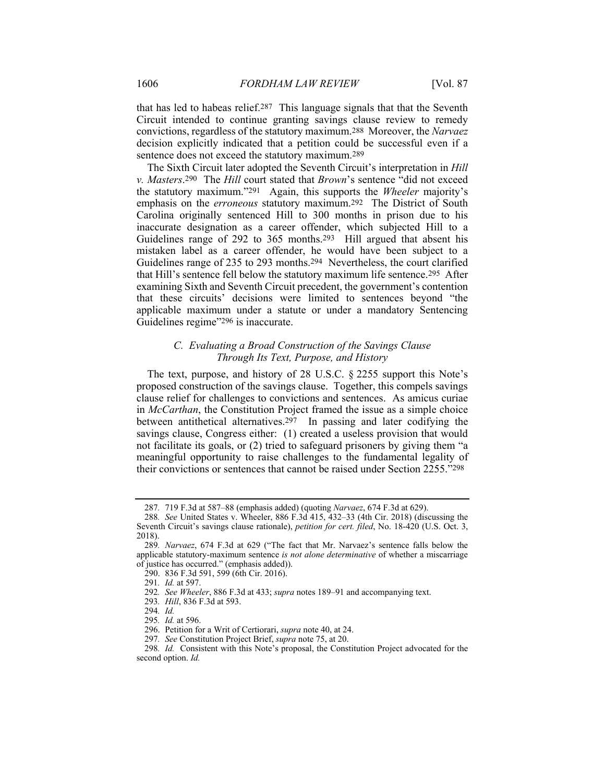that has led to habeas relief.287 This language signals that that the Seventh Circuit intended to continue granting savings clause review to remedy convictions, regardless of the statutory maximum.288 Moreover, the *Narvaez* decision explicitly indicated that a petition could be successful even if a sentence does not exceed the statutory maximum.289

The Sixth Circuit later adopted the Seventh Circuit's interpretation in *Hill v. Masters*.290 The *Hill* court stated that *Brown*'s sentence "did not exceed the statutory maximum."291 Again, this supports the *Wheeler* majority's emphasis on the *erroneous* statutory maximum.292 The District of South Carolina originally sentenced Hill to 300 months in prison due to his inaccurate designation as a career offender, which subjected Hill to a Guidelines range of 292 to 365 months.293 Hill argued that absent his mistaken label as a career offender, he would have been subject to a Guidelines range of 235 to 293 months.294 Nevertheless, the court clarified that Hill's sentence fell below the statutory maximum life sentence.295 After examining Sixth and Seventh Circuit precedent, the government's contention that these circuits' decisions were limited to sentences beyond "the applicable maximum under a statute or under a mandatory Sentencing Guidelines regime"296 is inaccurate.

# *C. Evaluating a Broad Construction of the Savings Clause Through Its Text, Purpose, and History*

The text, purpose, and history of 28 U.S.C. § 2255 support this Note's proposed construction of the savings clause. Together, this compels savings clause relief for challenges to convictions and sentences. As amicus curiae in *McCarthan*, the Constitution Project framed the issue as a simple choice between antithetical alternatives.297 In passing and later codifying the savings clause, Congress either: (1) created a useless provision that would not facilitate its goals, or (2) tried to safeguard prisoners by giving them "a meaningful opportunity to raise challenges to the fundamental legality of their convictions or sentences that cannot be raised under Section 2255."298

<sup>287</sup>*.* 719 F.3d at 587–88 (emphasis added) (quoting *Narvaez*, 674 F.3d at 629).

<sup>288</sup>*. See* United States v. Wheeler, 886 F.3d 415, 432–33 (4th Cir. 2018) (discussing the Seventh Circuit's savings clause rationale), *petition for cert. filed*, No. 18-420 (U.S. Oct. 3, 2018).

<sup>289</sup>*. Narvaez*, 674 F.3d at 629 ("The fact that Mr. Narvaez's sentence falls below the applicable statutory-maximum sentence *is not alone determinative* of whether a miscarriage of justice has occurred." (emphasis added)).

 <sup>290. 836</sup> F.3d 591, 599 (6th Cir. 2016).

<sup>291</sup>*. Id.* at 597.

<sup>292</sup>*. See Wheeler*, 886 F.3d at 433; *supra* notes 189–91 and accompanying text.

<sup>293</sup>*. Hill*, 836 F.3d at 593.

<sup>294</sup>*. Id.*

<sup>295</sup>*. Id.* at 596.

 <sup>296.</sup> Petition for a Writ of Certiorari, *supra* note 40, at 24.

<sup>297</sup>*. See* Constitution Project Brief, *supra* note 75, at 20.

<sup>298</sup>*. Id.* Consistent with this Note's proposal, the Constitution Project advocated for the second option. *Id.*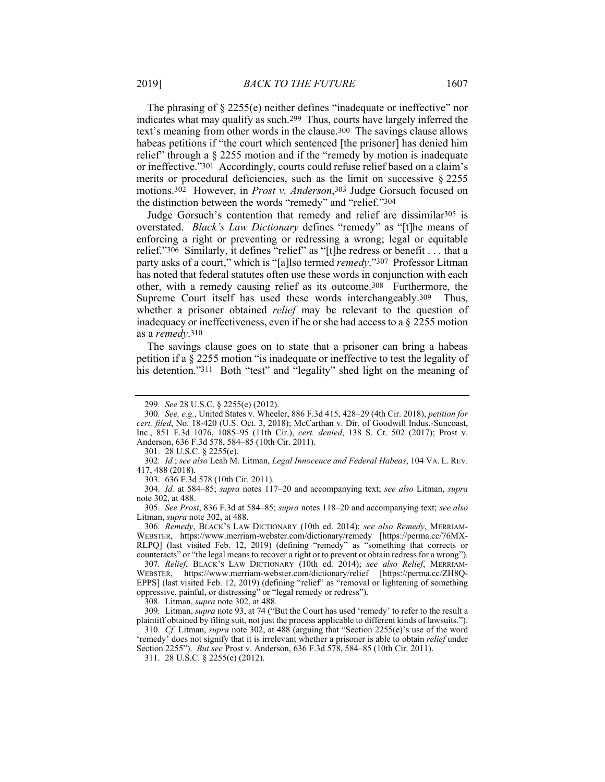The phrasing of § 2255(e) neither defines "inadequate or ineffective" nor indicates what may qualify as such.299 Thus, courts have largely inferred the text's meaning from other words in the clause.300 The savings clause allows habeas petitions if "the court which sentenced [the prisoner] has denied him relief" through a § 2255 motion and if the "remedy by motion is inadequate or ineffective."301 Accordingly, courts could refuse relief based on a claim's merits or procedural deficiencies, such as the limit on successive § 2255 motions.302 However, in *Prost v. Anderson*,303 Judge Gorsuch focused on the distinction between the words "remedy" and "relief."304

Judge Gorsuch's contention that remedy and relief are dissimilar305 is overstated. *Black's Law Dictionary* defines "remedy" as "[t]he means of enforcing a right or preventing or redressing a wrong; legal or equitable relief."306 Similarly, it defines "relief" as "[t]he redress or benefit . . . that a party asks of a court," which is "[a]lso termed *remedy*."307 Professor Litman has noted that federal statutes often use these words in conjunction with each other, with a remedy causing relief as its outcome.308 Furthermore, the Supreme Court itself has used these words interchangeably.<sup>309</sup> Thus, whether a prisoner obtained *relief* may be relevant to the question of inadequacy or ineffectiveness, even if he or she had access to a § 2255 motion as a *remedy*.310

The savings clause goes on to state that a prisoner can bring a habeas petition if a § 2255 motion "is inadequate or ineffective to test the legality of his detention."<sup>311</sup> Both "test" and "legality" shed light on the meaning of

301. 28 U.S.C. § 2255(e).

302*. Id.*; *see also* Leah M. Litman, *Legal Innocence and Federal Habeas*, 104 VA. L. REV. 417, 488 (2018).

303. 636 F.3d 578 (10th Cir. 2011).

 304. *Id.* at 584–85; *supra* notes 117–20 and accompanying text; *see also* Litman, *supra* note 302, at 488.

305*. See Prost*, 836 F.3d at 584–85; *supra* notes 118–20 and accompanying text; *see also* Litman, *supra* note 302, at 488.

306*. Remedy*, BLACK'S LAW DICTIONARY (10th ed. 2014); *see also Remedy*, MERRIAM-WEBSTER, https://www.merriam-webster.com/dictionary/remedy [https://perma.cc/76MX-RLPQ] (last visited Feb. 12, 2019) (defining "remedy" as "something that corrects or counteracts" or "the legal means to recover a right or to prevent or obtain redress for a wrong").

307*. Relief*, BLACK'S LAW DICTIONARY (10th ed. 2014); *see also Relief*, MERRIAM-WEBSTER, https://www.merriam-webster.com/dictionary/relief [https://perma.cc/ZH8Q-EPPS] (last visited Feb. 12, 2019) (defining "relief" as "removal or lightening of something oppressive, painful, or distressing" or "legal remedy or redress").

308. Litman, *supra* note 302, at 488.

309*.* Litman, *supra* note 93, at 74 ("But the Court has used 'remedy' to refer to the result a plaintiff obtained by filing suit, not just the process applicable to different kinds of lawsuits.").

310*. Cf.* Litman, *supra* note 302, at 488 (arguing that "Section 2255(e)'s use of the word 'remedy' does not signify that it is irrelevant whether a prisoner is able to obtain *relief* under Section 2255"). *But see* Prost v. Anderson, 636 F.3d 578, 584–85 (10th Cir. 2011).

311. 28 U.S.C. § 2255(e) (2012).

<sup>299</sup>*. See* 28 U.S.C. § 2255(e) (2012).

<sup>300</sup>*. See, e.g.*, United States v. Wheeler, 886 F.3d 415, 428–29 (4th Cir. 2018), *petition for cert. filed*, No. 18-420 (U.S. Oct. 3, 2018); McCarthan v. Dir. of Goodwill Indus.-Suncoast, Inc., 851 F.3d 1076, 1085–95 (11th Cir.), *cert. denied*, 138 S. Ct. 502 (2017); Prost v. Anderson, 636 F.3d 578, 584–85 (10th Cir. 2011).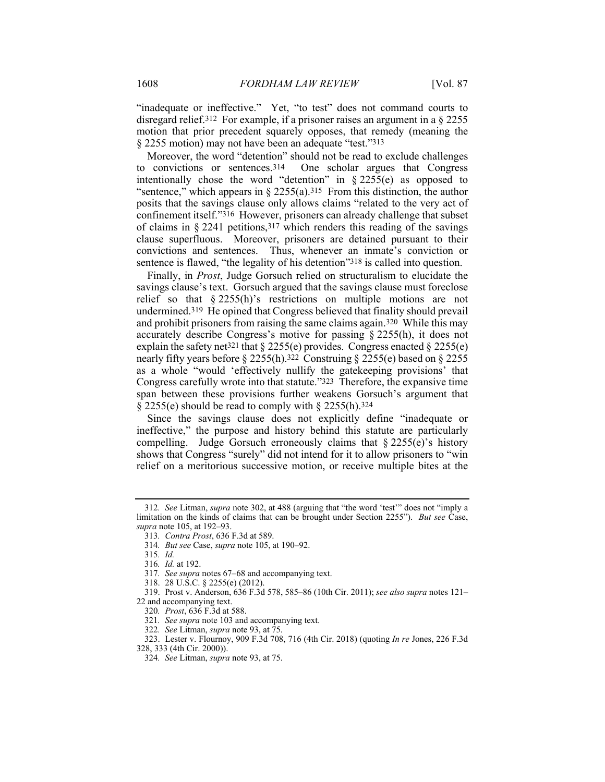"inadequate or ineffective." Yet, "to test" does not command courts to disregard relief.312 For example, if a prisoner raises an argument in a § 2255 motion that prior precedent squarely opposes, that remedy (meaning the § 2255 motion) may not have been an adequate "test."313

Moreover, the word "detention" should not be read to exclude challenges to convictions or sentences.314 One scholar argues that Congress intentionally chose the word "detention" in  $\S 2255(e)$  as opposed to "sentence," which appears in  $\S$  2255(a).<sup>315</sup> From this distinction, the author posits that the savings clause only allows claims "related to the very act of confinement itself."316 However, prisoners can already challenge that subset of claims in  $\S 2241$  petitions, 317 which renders this reading of the savings clause superfluous. Moreover, prisoners are detained pursuant to their convictions and sentences. Thus, whenever an inmate's conviction or sentence is flawed, "the legality of his detention"318 is called into question.

Finally, in *Prost*, Judge Gorsuch relied on structuralism to elucidate the savings clause's text. Gorsuch argued that the savings clause must foreclose relief so that § 2255(h)'s restrictions on multiple motions are not undermined.319 He opined that Congress believed that finality should prevail and prohibit prisoners from raising the same claims again.320 While this may accurately describe Congress's motive for passing § 2255(h), it does not explain the safety net<sup>321</sup> that  $\S$  2255(e) provides. Congress enacted  $\S$  2255(e) nearly fifty years before § 2255(h).<sup>322</sup> Construing § 2255(e) based on § 2255 as a whole "would 'effectively nullify the gatekeeping provisions' that Congress carefully wrote into that statute."323 Therefore, the expansive time span between these provisions further weakens Gorsuch's argument that  $\S$  2255(e) should be read to comply with  $\S$  2255(h).<sup>324</sup>

Since the savings clause does not explicitly define "inadequate or ineffective," the purpose and history behind this statute are particularly compelling. Judge Gorsuch erroneously claims that  $\S 2255(e)$ 's history shows that Congress "surely" did not intend for it to allow prisoners to "win relief on a meritorious successive motion, or receive multiple bites at the

<sup>312</sup>*. See* Litman, *supra* note 302, at 488 (arguing that "the word 'test'" does not "imply a limitation on the kinds of claims that can be brought under Section 2255"). *But see* Case, *supra* note 105, at 192–93.

<sup>313</sup>*. Contra Prost*, 636 F.3d at 589.

<sup>314</sup>*. But see* Case, *supra* note 105, at 190–92.

<sup>315</sup>*. Id.*

<sup>316</sup>*. Id.* at 192.

<sup>317</sup>*. See supra* notes 67–68 and accompanying text.

 <sup>318. 28</sup> U.S.C. § 2255(e) (2012).

 <sup>319.</sup> Prost v. Anderson, 636 F.3d 578, 585–86 (10th Cir. 2011); *see also supra* notes 121– 22 and accompanying text.

<sup>320</sup>*. Prost*, 636 F.3d at 588.

<sup>321</sup>*. See supra* note 103 and accompanying text.

<sup>322</sup>*. See* Litman, *supra* note 93, at 75.

 <sup>323.</sup> Lester v. Flournoy, 909 F.3d 708, 716 (4th Cir. 2018) (quoting *In re* Jones, 226 F.3d 328, 333 (4th Cir. 2000)).

<sup>324</sup>*. See* Litman, *supra* note 93, at 75.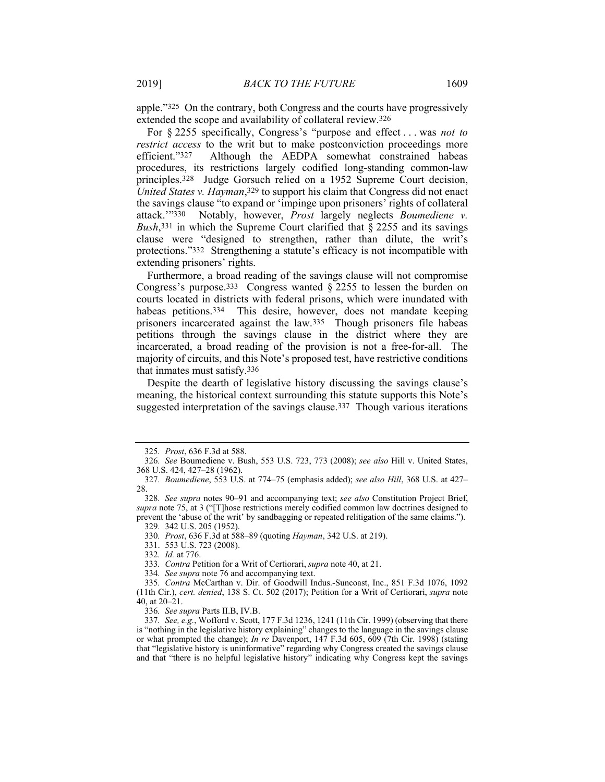apple."325 On the contrary, both Congress and the courts have progressively extended the scope and availability of collateral review.326

For § 2255 specifically, Congress's "purpose and effect . . . was *not to restrict access* to the writ but to make postconviction proceedings more efficient."327 Although the AEDPA somewhat constrained habeas procedures, its restrictions largely codified long-standing common-law principles.328 Judge Gorsuch relied on a 1952 Supreme Court decision, *United States v. Hayman*,329 to support his claim that Congress did not enact the savings clause "to expand or 'impinge upon prisoners' rights of collateral attack.'"330 Notably, however, *Prost* largely neglects *Boumediene v. Bush*,331 in which the Supreme Court clarified that § 2255 and its savings clause were "designed to strengthen, rather than dilute, the writ's protections."332 Strengthening a statute's efficacy is not incompatible with extending prisoners' rights.

Furthermore, a broad reading of the savings clause will not compromise Congress's purpose.333 Congress wanted § 2255 to lessen the burden on courts located in districts with federal prisons, which were inundated with habeas petitions.<sup>334</sup> This desire, however, does not mandate keeping prisoners incarcerated against the law.335 Though prisoners file habeas petitions through the savings clause in the district where they are incarcerated, a broad reading of the provision is not a free-for-all. The majority of circuits, and this Note's proposed test, have restrictive conditions that inmates must satisfy.336

Despite the dearth of legislative history discussing the savings clause's meaning, the historical context surrounding this statute supports this Note's suggested interpretation of the savings clause.<sup>337</sup> Though various iterations

336*. See supra* Parts II.B, IV.B.

<sup>325</sup>*. Prost*, 636 F.3d at 588.

<sup>326</sup>*. See* Boumediene v. Bush, 553 U.S. 723, 773 (2008); *see also* Hill v. United States, 368 U.S. 424, 427–28 (1962).

<sup>327</sup>*. Boumediene*, 553 U.S. at 774–75 (emphasis added); *see also Hill*, 368 U.S. at 427– 28.

<sup>328</sup>*. See supra* notes 90–91 and accompanying text; *see also* Constitution Project Brief, *supra* note 75, at 3 ("[T]hose restrictions merely codified common law doctrines designed to prevent the 'abuse of the writ' by sandbagging or repeated relitigation of the same claims.").

<sup>329</sup>*.* 342 U.S. 205 (1952).

<sup>330</sup>*. Prost*, 636 F.3d at 588–89 (quoting *Hayman*, 342 U.S. at 219).

 <sup>331. 553</sup> U.S. 723 (2008).

<sup>332</sup>*. Id.* at 776.

<sup>333</sup>*. Contra* Petition for a Writ of Certiorari, *supra* note 40, at 21.

<sup>334</sup>*. See supra* note 76 and accompanying text.

<sup>335</sup>*. Contra* McCarthan v. Dir. of Goodwill Indus.-Suncoast, Inc., 851 F.3d 1076, 1092 (11th Cir.), *cert. denied*, 138 S. Ct. 502 (2017); Petition for a Writ of Certiorari, *supra* note 40, at 20–21.

<sup>337</sup>*. See, e.g.*, Wofford v. Scott, 177 F.3d 1236, 1241 (11th Cir. 1999) (observing that there is "nothing in the legislative history explaining" changes to the language in the savings clause or what prompted the change); *In re* Davenport, 147 F.3d 605, 609 (7th Cir. 1998) (stating that "legislative history is uninformative" regarding why Congress created the savings clause and that "there is no helpful legislative history" indicating why Congress kept the savings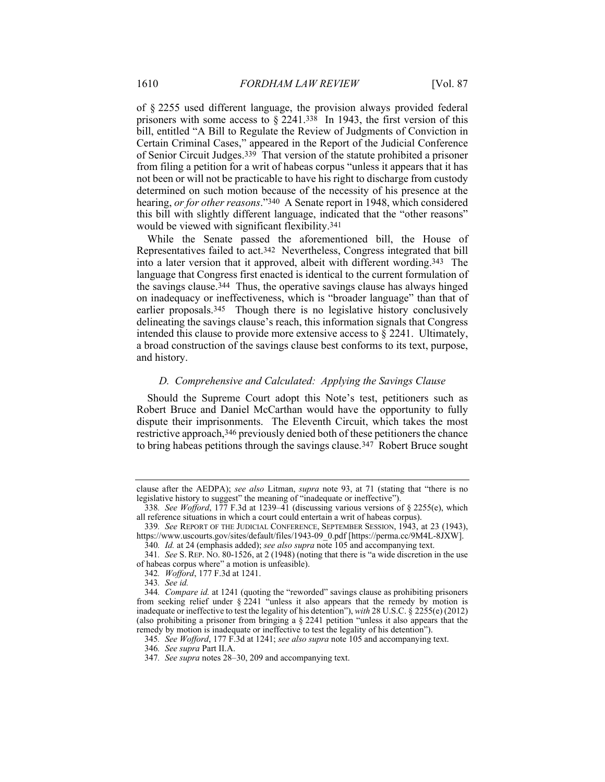of § 2255 used different language, the provision always provided federal prisoners with some access to  $\S 2241.338$  In 1943, the first version of this bill, entitled "A Bill to Regulate the Review of Judgments of Conviction in Certain Criminal Cases," appeared in the Report of the Judicial Conference of Senior Circuit Judges.339 That version of the statute prohibited a prisoner from filing a petition for a writ of habeas corpus "unless it appears that it has not been or will not be practicable to have his right to discharge from custody determined on such motion because of the necessity of his presence at the hearing, *or for other reasons*."340 A Senate report in 1948, which considered this bill with slightly different language, indicated that the "other reasons" would be viewed with significant flexibility.341

While the Senate passed the aforementioned bill, the House of Representatives failed to act.342 Nevertheless, Congress integrated that bill into a later version that it approved, albeit with different wording.343 The language that Congress first enacted is identical to the current formulation of the savings clause.344 Thus, the operative savings clause has always hinged on inadequacy or ineffectiveness, which is "broader language" than that of earlier proposals.345 Though there is no legislative history conclusively delineating the savings clause's reach, this information signals that Congress intended this clause to provide more extensive access to § 2241. Ultimately, a broad construction of the savings clause best conforms to its text, purpose, and history.

# *D. Comprehensive and Calculated: Applying the Savings Clause*

Should the Supreme Court adopt this Note's test, petitioners such as Robert Bruce and Daniel McCarthan would have the opportunity to fully dispute their imprisonments. The Eleventh Circuit, which takes the most restrictive approach,346 previously denied both of these petitioners the chance to bring habeas petitions through the savings clause.347 Robert Bruce sought

clause after the AEDPA); *see also* Litman, *supra* note 93, at 71 (stating that "there is no legislative history to suggest" the meaning of "inadequate or ineffective").

<sup>338</sup>*. See Wofford*, 177 F.3d at 1239–41 (discussing various versions of § 2255(e), which all reference situations in which a court could entertain a writ of habeas corpus).

<sup>339</sup>*. See* REPORT OF THE JUDICIAL CONFERENCE, SEPTEMBER SESSION, 1943, at 23 (1943), https://www.uscourts.gov/sites/default/files/1943-09\_0.pdf [https://perma.cc/9M4L-8JXW].

<sup>340</sup>*. Id.* at 24 (emphasis added); *see also supra* note 105 and accompanying text.

<sup>341</sup>*. See* S. REP. NO. 80-1526, at 2 (1948) (noting that there is "a wide discretion in the use of habeas corpus where" a motion is unfeasible).

<sup>342</sup>*. Wofford*, 177 F.3d at 1241.

<sup>343</sup>*. See id.*

<sup>344</sup>*. Compare id.* at 1241 (quoting the "reworded" savings clause as prohibiting prisoners from seeking relief under § 2241 "unless it also appears that the remedy by motion is inadequate or ineffective to test the legality of his detention"), *with* 28 U.S.C. § 2255(e) (2012) (also prohibiting a prisoner from bringing a § 2241 petition "unless it also appears that the remedy by motion is inadequate or ineffective to test the legality of his detention").

<sup>345</sup>*. See Wofford*, 177 F.3d at 1241; *see also supra* note 105 and accompanying text.

<sup>346</sup>*. See supra* Part II.A.

<sup>347</sup>*. See supra* notes 28–30, 209 and accompanying text.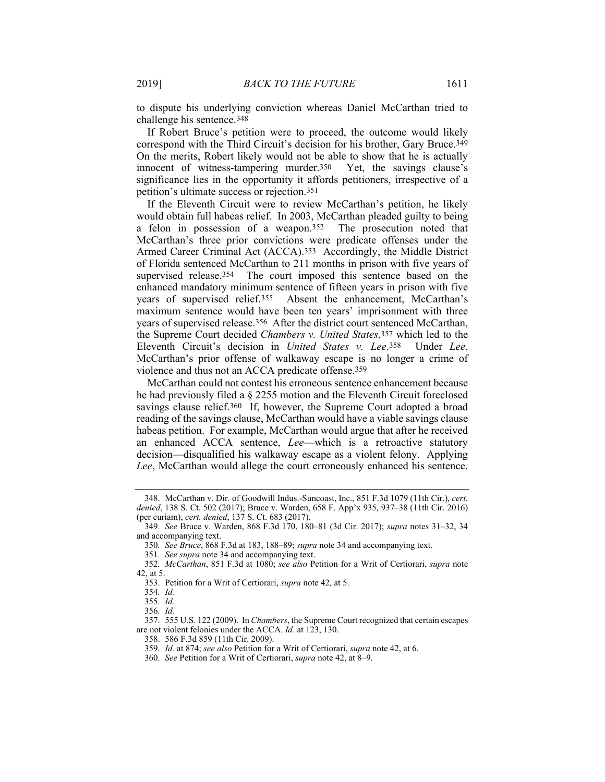to dispute his underlying conviction whereas Daniel McCarthan tried to challenge his sentence.348

If Robert Bruce's petition were to proceed, the outcome would likely correspond with the Third Circuit's decision for his brother, Gary Bruce.349 On the merits, Robert likely would not be able to show that he is actually innocent of witness-tampering murder.350 Yet, the savings clause's significance lies in the opportunity it affords petitioners, irrespective of a petition's ultimate success or rejection.351

If the Eleventh Circuit were to review McCarthan's petition, he likely would obtain full habeas relief. In 2003, McCarthan pleaded guilty to being a felon in possession of a weapon.352 The prosecution noted that McCarthan's three prior convictions were predicate offenses under the Armed Career Criminal Act (ACCA).353 Accordingly, the Middle District of Florida sentenced McCarthan to 211 months in prison with five years of supervised release.<sup>354</sup> The court imposed this sentence based on the enhanced mandatory minimum sentence of fifteen years in prison with five years of supervised relief.355 Absent the enhancement, McCarthan's maximum sentence would have been ten years' imprisonment with three years of supervised release.<sup>356</sup> After the district court sentenced McCarthan, the Supreme Court decided *Chambers v. United States*,357 which led to the Eleventh Circuit's decision in *United States v. Lee*.358 Under *Lee*, McCarthan's prior offense of walkaway escape is no longer a crime of violence and thus not an ACCA predicate offense.359

McCarthan could not contest his erroneous sentence enhancement because he had previously filed a § 2255 motion and the Eleventh Circuit foreclosed savings clause relief.<sup>360</sup> If, however, the Supreme Court adopted a broad reading of the savings clause, McCarthan would have a viable savings clause habeas petition. For example, McCarthan would argue that after he received an enhanced ACCA sentence, *Lee*—which is a retroactive statutory decision—disqualified his walkaway escape as a violent felony. Applying *Lee*, McCarthan would allege the court erroneously enhanced his sentence.

 <sup>348.</sup> McCarthan v. Dir. of Goodwill Indus.-Suncoast, Inc., 851 F.3d 1079 (11th Cir.), *cert. denied*, 138 S. Ct. 502 (2017); Bruce v. Warden, 658 F. App'x 935, 937–38 (11th Cir. 2016) (per curiam), *cert. denied*, 137 S. Ct. 683 (2017).

<sup>349</sup>*. See* Bruce v. Warden, 868 F.3d 170, 180–81 (3d Cir. 2017); *supra* notes 31–32, 34 and accompanying text.

<sup>350</sup>*. See Bruce*, 868 F.3d at 183, 188–89; *supra* note 34 and accompanying text.

<sup>351</sup>*. See supra* note 34 and accompanying text.

<sup>352</sup>*. McCarthan*, 851 F.3d at 1080; *see also* Petition for a Writ of Certiorari, *supra* note 42, at 5.

 <sup>353.</sup> Petition for a Writ of Certiorari, *supra* note 42, at 5.

<sup>354</sup>*. Id.*

<sup>355</sup>*. Id.*

<sup>356</sup>*. Id.*

 <sup>357. 555</sup> U.S. 122 (2009). In *Chambers*, the Supreme Court recognized that certain escapes are not violent felonies under the ACCA. *Id.* at 123, 130.

 <sup>358. 586</sup> F.3d 859 (11th Cir. 2009).

<sup>359</sup>*. Id.* at 874; *see also* Petition for a Writ of Certiorari, *supra* note 42, at 6.

<sup>360</sup>*. See* Petition for a Writ of Certiorari, *supra* note 42, at 8–9.